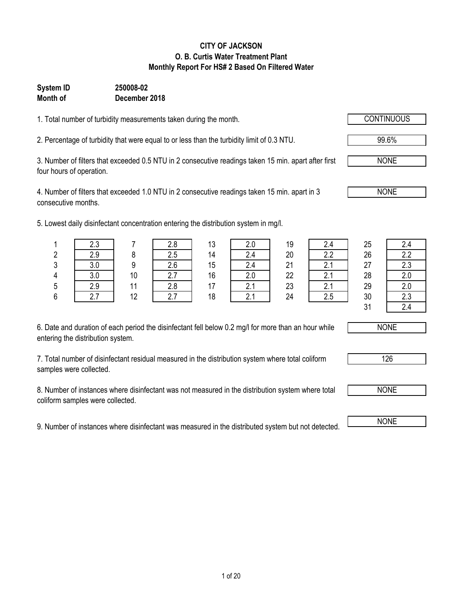### **CITY OF JACKSON O. B. Curtis Water Treatment Plant Monthly Report For HS# 2 Based On Filtered Water**

### **Month of December 2018 System ID 250008-02**

1. Total number of turbidity measurements taken during the month.

2. Percentage of turbidity that were equal to or less than the turbidity limit of 0.3 NTU.

3. Number of filters that exceeded 0.5 NTU in 2 consecutive readings taken 15 min. apart after first four hours of operation.

4. Number of filters that exceeded 1.0 NTU in 2 consecutive readings taken 15 min. apart in 3 consecutive months.

5. Lowest daily disinfectant concentration entering the distribution system in mg/l.

| 6. Date and duration of each period the disinfectant fell below 0.2 mg/l for more than an hour while |
|------------------------------------------------------------------------------------------------------|
| entering the distribution system.                                                                    |

7. Total number of disinfectant residual measured in the distribution system where total coliform samples were collected.

8. Number of instances where disinfectant was not measured in the distribution system where total coliform samples were collected.

9. Number of instances where disinfectant was measured in the distributed system but not detected.

|        | $\sim$     |    |            | 13 |          | 19 |                      | 25     | 2.4    |
|--------|------------|----|------------|----|----------|----|----------------------|--------|--------|
| ົ<br>۷ |            |    |            |    | 2.4      | 20 | n n                  | 26     | 2.2    |
| 3      |            |    | 2.6        | 15 | 2.4      | 21 |                      | 27     | 2.3    |
| 4      | ח כ<br>v.v | 10 | <u>.</u>   | 16 | 2.0      | 22 | $\sim$               | 28     | 2.0    |
| 5      | 2.9        |    | n n<br>Z.O |    | <u>.</u> | 23 | $\sim$ $\sim$ $\sim$ | 29     | 2.0    |
| 6      |            | 10 |            | 18 |          | 24 |                      | 30     | 2.3    |
|        |            |    |            |    |          |    |                      | $\sim$ | $\sim$ |

| Z.4 |
|-----|
| 2.2 |
| 2.3 |
| 2.0 |
| 2.0 |
| 2.3 |
| 2.4 |





 $31$ 



NONE

NONE

NONE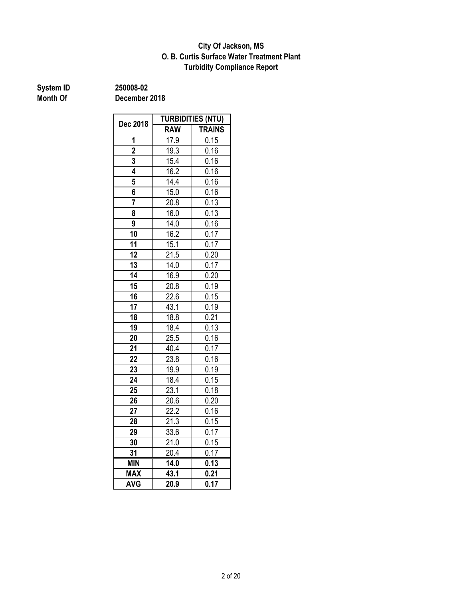### **O. B. Curtis Surface Water Treatment Plant City Of Jackson, MS Turbidity Compliance Report**

# **System ID** 250008-02<br> **Month Of** December

**Month Of December 2018**

|                | <b>TURBIDITIES (NTU)</b> |                   |  |  |  |
|----------------|--------------------------|-------------------|--|--|--|
| Dec 2018       | <b>RAW</b>               | <b>TRAINS</b>     |  |  |  |
| 1              | 17.9                     | 0.15              |  |  |  |
| $\overline{2}$ | 19.3                     | 0.16              |  |  |  |
| 3              | 15.4                     | 0.16              |  |  |  |
| 4              | 16.2                     | $\overline{0.16}$ |  |  |  |
| 5              | 14.4                     | 0.16              |  |  |  |
| 6              | 15.0                     | 0.16              |  |  |  |
| 7              | 20.8                     | 0.13              |  |  |  |
| 8              | 16.0                     | 0.13              |  |  |  |
| 9              | 14.0                     | 0.16              |  |  |  |
| 10             | 16.2                     | 0.17              |  |  |  |
| 11             | 15.1                     | 0.17              |  |  |  |
| 12             | 21.5                     | $\overline{0.20}$ |  |  |  |
| 13             | 14.0                     | 0.17              |  |  |  |
| 14             | 16.9                     | 0.20              |  |  |  |
| 15             | 20.8                     | 0.19              |  |  |  |
| 16             | 22.6                     | 0.15              |  |  |  |
| 17             | 43.1                     | 0.19              |  |  |  |
| 18             | 18.8                     | 0.21              |  |  |  |
| 19             | 18.4                     | 0.13              |  |  |  |
| 20             | 25.5                     | 0.16              |  |  |  |
| 21             | 40.4                     | 0.17              |  |  |  |
| 22             | 23.8                     | 0.16              |  |  |  |
| 23             | 19.9                     | 0.19              |  |  |  |
| 24             | 18.4                     | 0.15              |  |  |  |
| 25             | 23.1                     | 0.18              |  |  |  |
| 26             | 20.6                     | 0.20              |  |  |  |
| 27             | 22.2                     | 0.16              |  |  |  |
| 28             | 21.3                     | 0.15              |  |  |  |
| 29             | 33.6                     | 0.17              |  |  |  |
| 30             | 21.0                     | 0.15              |  |  |  |
| 31             | 20.4                     | 0.17              |  |  |  |
| <b>MIN</b>     | $\overline{14.0}$        | 0.13              |  |  |  |
| <b>MAX</b>     | 43.1                     | 0.21              |  |  |  |
| <b>AVG</b>     | 20.9                     | 0.17              |  |  |  |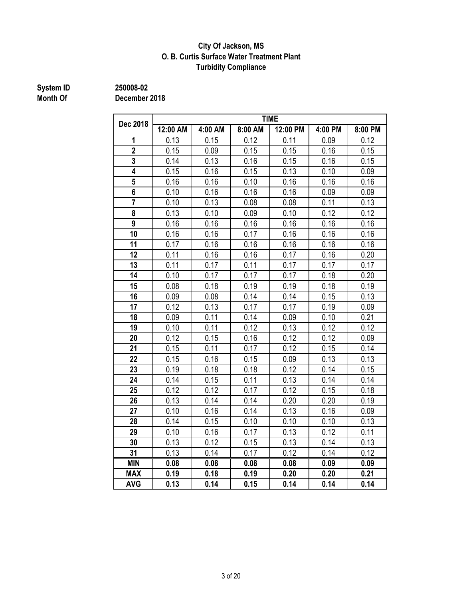### **City Of Jackson, MS O. B. Curtis Surface Water Treatment Plant Turbidity Compliance**

# **System ID** 250008-02<br> **Month Of** December

**Month Of December 2018**

| Dec 2018       | <b>TIME</b> |         |         |          |         |         |  |  |  |  |
|----------------|-------------|---------|---------|----------|---------|---------|--|--|--|--|
|                | 12:00 AM    | 4:00 AM | 8:00 AM | 12:00 PM | 4:00 PM | 8:00 PM |  |  |  |  |
| 1              | 0.13        | 0.15    | 0.12    | 0.11     | 0.09    | 0.12    |  |  |  |  |
| $\overline{2}$ | 0.15        | 0.09    | 0.15    | 0.15     | 0.16    | 0.15    |  |  |  |  |
| 3              | 0.14        | 0.13    | 0.16    | 0.15     | 0.16    | 0.15    |  |  |  |  |
| 4              | 0.15        | 0.16    | 0.15    | 0.13     | 0.10    | 0.09    |  |  |  |  |
| 5              | 0.16        | 0.16    | 0.10    | 0.16     | 0.16    | 0.16    |  |  |  |  |
| $6\phantom{a}$ | 0.10        | 0.16    | 0.16    | 0.16     | 0.09    | 0.09    |  |  |  |  |
| $\overline{7}$ | 0.10        | 0.13    | 0.08    | 0.08     | 0.11    | 0.13    |  |  |  |  |
| 8              | 0.13        | 0.10    | 0.09    | 0.10     | 0.12    | 0.12    |  |  |  |  |
| 9              | 0.16        | 0.16    | 0.16    | 0.16     | 0.16    | 0.16    |  |  |  |  |
| 10             | 0.16        | 0.16    | 0.17    | 0.16     | 0.16    | 0.16    |  |  |  |  |
| 11             | 0.17        | 0.16    | 0.16    | 0.16     | 0.16    | 0.16    |  |  |  |  |
| 12             | 0.11        | 0.16    | 0.16    | 0.17     | 0.16    | 0.20    |  |  |  |  |
| 13             | 0.11        | 0.17    | 0.11    | 0.17     | 0.17    | 0.17    |  |  |  |  |
| 14             | 0.10        | 0.17    | 0.17    | 0.17     | 0.18    | 0.20    |  |  |  |  |
| 15             | 0.08        | 0.18    | 0.19    | 0.19     | 0.18    | 0.19    |  |  |  |  |
| 16             | 0.09        | 0.08    | 0.14    | 0.14     | 0.15    | 0.13    |  |  |  |  |
| 17             | 0.12        | 0.13    | 0.17    | 0.17     | 0.19    | 0.09    |  |  |  |  |
| 18             | 0.09        | 0.11    | 0.14    | 0.09     | 0.10    | 0.21    |  |  |  |  |
| 19             | 0.10        | 0.11    | 0.12    | 0.13     | 0.12    | 0.12    |  |  |  |  |
| 20             | 0.12        | 0.15    | 0.16    | 0.12     | 0.12    | 0.09    |  |  |  |  |
| 21             | 0.15        | 0.11    | 0.17    | 0.12     | 0.15    | 0.14    |  |  |  |  |
| 22             | 0.15        | 0.16    | 0.15    | 0.09     | 0.13    | 0.13    |  |  |  |  |
| 23             | 0.19        | 0.18    | 0.18    | 0.12     | 0.14    | 0.15    |  |  |  |  |
| 24             | 0.14        | 0.15    | 0.11    | 0.13     | 0.14    | 0.14    |  |  |  |  |
| 25             | 0.12        | 0.12    | 0.17    | 0.12     | 0.15    | 0.18    |  |  |  |  |
| 26             | 0.13        | 0.14    | 0.14    | 0.20     | 0.20    | 0.19    |  |  |  |  |
| 27             | 0.10        | 0.16    | 0.14    | 0.13     | 0.16    | 0.09    |  |  |  |  |
| 28             | 0.14        | 0.15    | 0.10    | 0.10     | 0.10    | 0.13    |  |  |  |  |
| 29             | 0.10        | 0.16    | 0.17    | 0.13     | 0.12    | 0.11    |  |  |  |  |
| 30             | 0.13        | 0.12    | 0.15    | 0.13     | 0.14    | 0.13    |  |  |  |  |
| 31             | 0.13        | 0.14    | 0.17    | 0.12     | 0.14    | 0.12    |  |  |  |  |
| <b>MIN</b>     | 0.08        | 0.08    | 0.08    | 0.08     | 0.09    | 0.09    |  |  |  |  |
| <b>MAX</b>     | 0.19        | 0.18    | 0.19    | 0.20     | 0.20    | 0.21    |  |  |  |  |
| <b>AVG</b>     | 0.13        | 0.14    | 0.15    | 0.14     | 0.14    | 0.14    |  |  |  |  |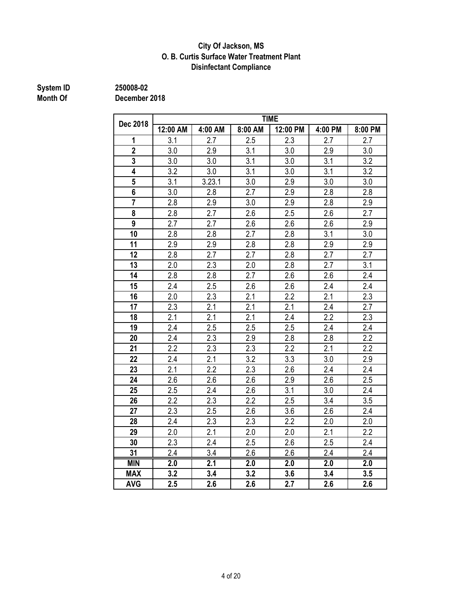### **City Of Jackson, MS O. B. Curtis Surface Water Treatment Plant Disinfectant Compliance**

# **System ID** 250008-02<br> **Month Of** December

**Month Of December 2018**

| Dec 2018       | <b>TIME</b>      |                  |         |                  |         |                  |  |  |  |  |
|----------------|------------------|------------------|---------|------------------|---------|------------------|--|--|--|--|
|                | 12:00 AM         | 4:00 AM          | 8:00 AM | 12:00 PM         | 4:00 PM | 8:00 PM          |  |  |  |  |
| 1              | 3.1              | 2.7              | 2.5     | 2.3              | 2.7     | 2.7              |  |  |  |  |
| $\overline{2}$ | 3.0              | 2.9              | 3.1     | 3.0              | 2.9     | 3.0              |  |  |  |  |
| $\overline{3}$ | 3.0              | 3.0              | 3.1     | 3.0              | 3.1     | 3.2              |  |  |  |  |
| 4              | 3.2              | 3.0              | 3.1     | 3.0              | 3.1     | 3.2              |  |  |  |  |
| 5              | 3.1              | 3.23.1           | 3.0     | 2.9              | 3.0     | 3.0              |  |  |  |  |
| 6              | 3.0              | 2.8              | 2.7     | 2.9              | 2.8     | 2.8              |  |  |  |  |
|                | 2.8              | 2.9              | 3.0     | 2.9              | 2.8     | 2.9              |  |  |  |  |
| 8              | 2.8              | 2.7              | 2.6     | 2.5              | 2.6     | 2.7              |  |  |  |  |
| 9              | 2.7              | 2.7              | 2.6     | 2.6              | 2.6     | 2.9              |  |  |  |  |
| 10             | 2.8              | 2.8              | 2.7     | 2.8              | 3.1     | 3.0              |  |  |  |  |
| 11             | 2.9              | 2.9              | 2.8     | 2.8              | 2.9     | 2.9              |  |  |  |  |
| 12             | 2.8              | 2.7              | 2.7     | 2.8              | 2.7     | 2.7              |  |  |  |  |
| 13             | 2.0              | 2.3              | 2.0     | 2.8              | 2.7     | 3.1              |  |  |  |  |
| 14             | 2.8              | 2.8              | 2.7     | 2.6              | 2.6     | 2.4              |  |  |  |  |
| 15             | 2.4              | 2.5              | 2.6     | 2.6              | 2.4     | 2.4              |  |  |  |  |
| 16             | 2.0              | 2.3              | 2.1     | 2.2              | 2.1     | 2.3              |  |  |  |  |
| 17             | 2.3              | 2.1              | 2.1     | 2.1              | 2.4     | 2.7              |  |  |  |  |
| 18             | 2.1              | 2.1              | 2.1     | 2.4              | 2.2     | 2.3              |  |  |  |  |
| 19             | 2.4              | 2.5              | 2.5     | 2.5              | 2.4     | $\overline{2.4}$ |  |  |  |  |
| 20             | 2.4              | 2.3              | 2.9     | 2.8              | 2.8     | 2.2              |  |  |  |  |
| 21             | 2.2              | 2.3              | 2.3     | 2.2              | 2.1     | 2.2              |  |  |  |  |
| 22             | 2.4              | 2.1              | 3.2     | 3.3              | 3.0     | 2.9              |  |  |  |  |
| 23             | 2.1              | 2.2              | 2.3     | 2.6              | 2.4     | 2.4              |  |  |  |  |
| 24             | 2.6              | 2.6              | 2.6     | 2.9              | 2.6     | 2.5              |  |  |  |  |
| 25             | 2.5              | 2.4              | 2.6     | 3.1              | 3.0     | 2.4              |  |  |  |  |
| 26             | 2.2              | 2.3              | 2.2     | 2.5              | 3.4     | 3.5              |  |  |  |  |
| 27             | 2.3              | 2.5              | 2.6     | 3.6              | 2.6     | 2.4              |  |  |  |  |
| 28             | 2.4              | 2.3              | 2.3     | 2.2              | 2.0     | 2.0              |  |  |  |  |
| 29             | 2.0              | 2.1              | 2.0     | 2.0              | 2.1     | 2.2              |  |  |  |  |
| 30             | 2.3              | 2.4              | 2.5     | $2.6\,$          | 2.5     | 2.4              |  |  |  |  |
| 31             | 2.4              | 3.4              | 2.6     | 2.6              | 2.4     | 2.4              |  |  |  |  |
| <b>MIN</b>     | $\overline{2.0}$ | $\overline{2.1}$ | 2.0     | $\overline{2.0}$ | 2.0     | $\overline{2.0}$ |  |  |  |  |
| <b>MAX</b>     | 3.2              | 3.4              | 3.2     | 3.6              | 3.4     | 3.5              |  |  |  |  |
| <b>AVG</b>     | 2.5              | 2.6              | 2.6     | 2.7              | 2.6     | 2.6              |  |  |  |  |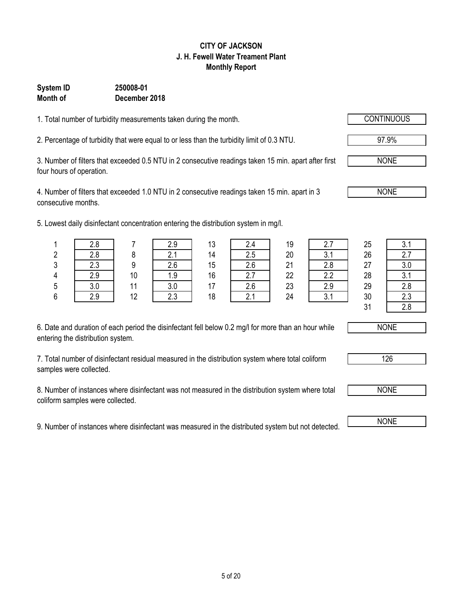# 5 of 20

#### **CITY OF JACKSON J. H. Fewell Water Treament Plant Monthly Report**

### **System ID 250008-01 Month of December 2018**

1. Total number of turbidity measurements taken during the month.

2. Percentage of turbidity that were equal to or less than the turbidity limit of 0.3 NTU. 97.9%

3. Number of filters that exceeded 0.5 NTU in 2 consecutive readings taken 15 min. apart after first four hours of operation.

4. Number of filters that exceeded 1.0 NTU in 2 consecutive readings taken 15 min. apart in 3 consecutive months.

5. Lowest daily disinfectant concentration entering the distribution system in mg/l.

| 6. Date and duration of each period the disinfectant fell below 0.2 mg/l for more than an hour while |  |
|------------------------------------------------------------------------------------------------------|--|
| entering the distribution system.                                                                    |  |

7. Total number of disinfectant residual measured in the distribution system where total coliform samples were collected.

8. Number of instances where disinfectant was not measured in the distribution system where total coliform samples were collected.

9. Number of instances where disinfectant was measured in the distributed system but not detected. NONE

|        | $\cdot$ |    | . .      |    |        | $\sim$ |     |    |           |
|--------|---------|----|----------|----|--------|--------|-----|----|-----------|
|        | 2.8     |    | 2.9      | 13 | 2.4    | 19     |     | 25 | າ 1<br>U. |
| ŋ<br>۷ | 2.8     |    | C.<br>z. | 14 | 2.5    | 20     | J.I | 26 | ۷.۱       |
| 3      | 2.3     | 9  | 2.6      | 15 | 2.6    | 21     | 2.8 | 27 | 3.0       |
| 4      | 2.9     | 10 | 1.9      | 16 | ົ<br>i | 22     | 2.2 | 28 | 3.1       |
| 5      | 3.0     |    | 3.0      | 17 | 2.6    | 23     | 2.9 | 29 | 2.8       |
| ĥ      | ን ባ     | 12 | クマ       | 18 | ົ      | 24     |     | 30 |           |

|                | $\sim$ |    | $\sim$       | $\sim$ | <u>.</u>                          | $\cdot$ | $\sim$       | ∼∽ | ◡.              |
|----------------|--------|----|--------------|--------|-----------------------------------|---------|--------------|----|-----------------|
| n.<br><u>.</u> | 2.8    |    | ົ<br><u></u> | 14     | つに<br>ں.ء                         | 20      | $\sim$       | 26 |                 |
| n<br>ບ         | 2.3    | O  | 2.6          | 15     | 2.6                               | 21      | 2.8          | 27 | ົ               |
| 4              | 2.9    | 10 | 1.9          | 16     | $\overline{\phantom{a}}$<br>ا . ۵ | 22      | n n          | 28 | $\sim$<br>v. 1  |
| 5              | 3.0    | 44 | 3.0          | 17     | 2.6                               | 23      | 2.9          | 29 | ററ<br>Z.U       |
| 6              | 2.9    | 12 | 2.3          | 18     | $\sim$ $\lambda$                  | 24      | $\sim$<br>v. | 30 | $\sim$<br>ت ـ   |
|                |        |    |              |        |                                   |         |              | ົ  | $\Omega$<br>_.u |





126



NONE

NONE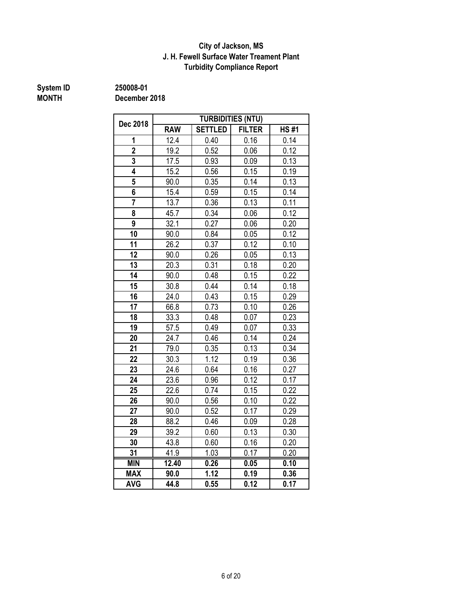### **City of Jackson, MS J. H. Fewell Surface Water Treament Plant Turbidity Compliance Report**

**System ID 250008-01**

**MONTH December 2018**

| Dec 2018       | <b>TURBIDITIES (NTU)</b> |                |               |                   |  |  |  |
|----------------|--------------------------|----------------|---------------|-------------------|--|--|--|
|                | <b>RAW</b>               | <b>SETTLED</b> | <b>FILTER</b> | <b>HS#1</b>       |  |  |  |
| 1              | 12.4                     | 0.40           | 0.16          | 0.14              |  |  |  |
| $\overline{2}$ | 19.2                     | 0.52           | 0.06          | 0.12              |  |  |  |
| 3              | 17.5                     | 0.93           | 0.09          | 0.13              |  |  |  |
| 4              | 15.2                     | 0.56           | 0.15          | 0.19              |  |  |  |
| 5              | 90.0                     | 0.35           | 0.14          | 0.13              |  |  |  |
| 6              | 15.4                     | 0.59           | 0.15          | 0.14              |  |  |  |
|                | 13.7                     | 0.36           | 0.13          | 0.11              |  |  |  |
| 8              | 45.7                     | 0.34           | 0.06          | 0.12              |  |  |  |
| 9              | 32.1                     | 0.27           | 0.06          | 0.20              |  |  |  |
| 10             | 90.0                     | 0.84           | 0.05          | 0.12              |  |  |  |
| 11             | 26.2                     | 0.37           | 0.12          | 0.10              |  |  |  |
| 12             | 90.0                     | 0.26           | 0.05          | 0.13              |  |  |  |
| 13             | 20.3                     | 0.31           | 0.18          | 0.20              |  |  |  |
| 14             | 90.0                     | 0.48           | 0.15          | 0.22              |  |  |  |
| 15             | 30.8                     | 0.44           | 0.14          | 0.18              |  |  |  |
| 16             | 24.0                     | 0.43           | 0.15          | 0.29              |  |  |  |
| 17             | 66.8                     | 0.73           | 0.10          | 0.26              |  |  |  |
| 18             | 33.3                     | 0.48           | 0.07          | 0.23              |  |  |  |
| 19             | 57.5                     | 0.49           | 0.07          | $0.\overline{33}$ |  |  |  |
| 20             | 24.7                     | 0.46           | 0.14          | 0.24              |  |  |  |
| 21             | 79.0                     | 0.35           | 0.13          | 0.34              |  |  |  |
| 22             | 30.3                     | 1.12           | 0.19          | 0.36              |  |  |  |
| 23             | 24.6                     | 0.64           | 0.16          | 0.27              |  |  |  |
| 24             | 23.6                     | 0.96           | 0.12          | 0.17              |  |  |  |
| 25             | 22.6                     | 0.74           | 0.15          | 0.22              |  |  |  |
| 26             | 90.0                     | 0.56           | 0.10          | 0.22              |  |  |  |
| 27             | 90.0                     | 0.52           | 0.17          | 0.29              |  |  |  |
| 28             | 88.2                     | 0.46           | 0.09          | 0.28              |  |  |  |
| 29             | 39.2                     | 0.60           | 0.13          | 0.30              |  |  |  |
| 30             | 43.8                     | 0.60           | 0.16          | 0.20              |  |  |  |
| 31             | 41.9                     | 1.03           | 0.17          | 0.20              |  |  |  |
| <b>MIN</b>     | 12.40                    | 0.26           | 0.05          | 0.10              |  |  |  |
| <b>MAX</b>     | 90.0                     | 1.12           | 0.19          | 0.36              |  |  |  |
| <b>AVG</b>     | 44.8                     | 0.55           | 0.12          | 0.17              |  |  |  |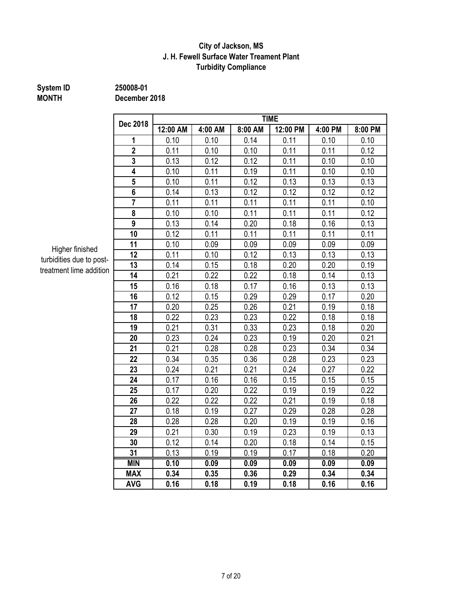#### **J. H. Fewell Surface Water Treament Plant Turbidity Compliance City of Jackson, MS**

# **MONTH December 2018**

**System ID 250008-01**

**12:00 AM 4:00 AM 8:00 AM 12:00 PM 4:00 PM 8:00 PM** | 0.10 | 0.10 | 0.14 | 0.11 | 0.10 | 0.10 | 0.11 | 0.10 | 0.10 | 0.11 | 0.11 | 0.12 0.13 0.12 0.12 0.11 0.10 0.10 | 0.10 | 0.11 | 0.19 | 0.11 | 0.10 | 0.10 0.10 0.11 0.12 0.13 0.13 0.13 0.14 0.13 0.12 0.12 0.12 0.12 0.12 0.11 0.11 0.11 0.11 0.11 0.10 0.10 0.10 0.11 0.11 0.11 0.11 0.12 0.13 0.14 0.20 0.18 0.16 0.13 0.12 0.11 0.11 0.11 0.11 0.11 0.11 0.10 0.09 0.09 0.09 0.09 0.09 0.11 0.10 0.12 0.13 0.13 0.13 0.14 0.15 0.18 0.20 0.20 0.19 0.21 0.22 0.22 0.18 0.14 0.13 0.16 0.18 0.17 0.16 0.13 0.13 0.12 0.15 0.29 0.29 0.17 0.20 0.20 0.25 0.26 0.21 0.19 0.18 0.22 0.23 0.23 0.22 0.18 0.18 0.21 0.31 0.33 0.23 0.18 0.20 0.23 0.24 0.23 0.19 0.20 0.21 0.21 0.28 0.28 0.23 0.34 0.34 0.34 0.35 0.36 0.28 0.23 0.23 0.24 0.21 0.21 0.24 0.27 0.22 | 0.17 | 0.16 | 0.16 | 0.15 | 0.15 | 0.15 0.17 0.20 0.22 0.19 0.19 0.22 0.22 0.22 0.22 0.21 0.19 0.18 0.18 0.19 0.27 0.29 0.28 0.28 | 0.28 | 0.28 | 0.20 | 0.19 | 0.19 | 0.16 | 0.21 | 0.30 | 0.19 | 0.23 | 0.19 | 0.13 0.12 0.14 0.20 0.18 0.14 0.15 0.13 0.19 0.19 0.17 0.18 0.20 **MIN 0.10 0.09 0.09 0.09 0.09 0.09 MAX 0.34 0.35 0.36 0.29 0.34 0.34 AVG 0.16 0.18 0.19 0.18 0.16 0.16 Dec 2018 TIME**

Higher finished turbidities due to posttreatment lime addition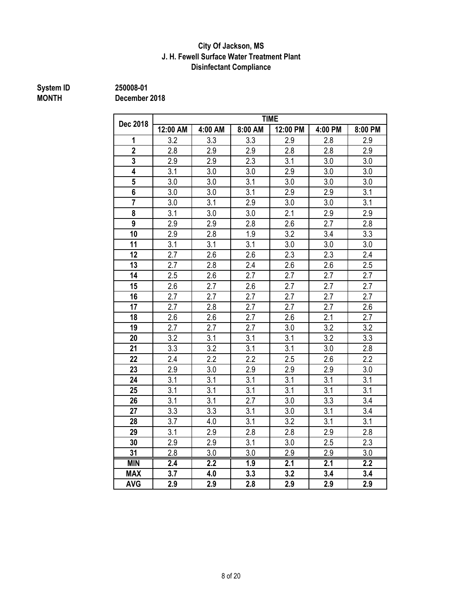### **J. H. Fewell Surface Water Treatment Plant City Of Jackson, MS Disinfectant Compliance**

# **System ID** 250008-01<br>MONTH December

**MONTH December 2018**

| Dec 2018       | <b>TIME</b> |                  |         |          |         |                  |  |  |  |  |
|----------------|-------------|------------------|---------|----------|---------|------------------|--|--|--|--|
|                | 12:00 AM    | 4:00 AM          | 8:00 AM | 12:00 PM | 4:00 PM | 8:00 PM          |  |  |  |  |
| 1              | 3.2         | 3.3              | 3.3     | 2.9      | 2.8     | 2.9              |  |  |  |  |
| $\overline{2}$ | 2.8         | 2.9              | 2.9     | 2.8      | 2.8     | 2.9              |  |  |  |  |
| 3              | 2.9         | 2.9              | 2.3     | 3.1      | 3.0     | 3.0              |  |  |  |  |
| 4              | 3.1         | 3.0              | 3.0     | 2.9      | 3.0     | 3.0              |  |  |  |  |
| 5              | 3.0         | 3.0              | 3.1     | 3.0      | 3.0     | 3.0              |  |  |  |  |
| 6              | 3.0         | 3.0              | 3.1     | 2.9      | 2.9     | 3.1              |  |  |  |  |
| $\overline{7}$ | 3.0         | 3.1              | 2.9     | 3.0      | 3.0     | 3.1              |  |  |  |  |
| 8              | 3.1         | 3.0              | 3.0     | 2.1      | 2.9     | 2.9              |  |  |  |  |
| 9              | 2.9         | 2.9              | 2.8     | 2.6      | 2.7     | 2.8              |  |  |  |  |
| 10             | 2.9         | 2.8              | 1.9     | 3.2      | 3.4     | 3.3              |  |  |  |  |
| 11             | 3.1         | 3.1              | 3.1     | 3.0      | 3.0     | 3.0              |  |  |  |  |
| 12             | 2.7         | 2.6              | 2.6     | 2.3      | 2.3     | 2.4              |  |  |  |  |
| 13             | 2.7         | 2.8              | 2.4     | 2.6      | 2.6     | 2.5              |  |  |  |  |
| 14             | 2.5         | 2.6              | 2.7     | 2.7      | 2.7     | 2.7              |  |  |  |  |
| 15             | 2.6         | 2.7              | 2.6     | 2.7      | 2.7     | 2.7              |  |  |  |  |
| 16             | 2.7         | 2.7              | 2.7     | 2.7      | 2.7     | 2.7              |  |  |  |  |
| 17             | 2.7         | 2.8              | 2.7     | 2.7      | 2.7     | 2.6              |  |  |  |  |
| 18             | 2.6         | 2.6              | 2.7     | 2.6      | 2.1     | 2.7              |  |  |  |  |
| 19             | 2.7         | 2.7              | 2.7     | 3.0      | 3.2     | 3.2              |  |  |  |  |
| 20             | 3.2         | 3.1              | 3.1     | 3.1      | 3.2     | 3.3              |  |  |  |  |
| 21             | 3.3         | 3.2              | 3.1     | 3.1      | 3.0     | 2.8              |  |  |  |  |
| 22             | 2.4         | 2.2              | 2.2     | 2.5      | 2.6     | 2.2              |  |  |  |  |
| 23             | 2.9         | 3.0              | 2.9     | 2.9      | 2.9     | 3.0              |  |  |  |  |
| 24             | 3.1         | 3.1              | 3.1     | 3.1      | 3.1     | 3.1              |  |  |  |  |
| 25             | 3.1         | 3.1              | 3.1     | 3.1      | 3.1     | 3.1              |  |  |  |  |
| 26             | 3.1         | 3.1              | 2.7     | 3.0      | 3.3     | 3.4              |  |  |  |  |
| 27             | 3.3         | 3.3              | 3.1     | 3.0      | 3.1     | 3.4              |  |  |  |  |
| 28             | 3.7         | 4.0              | 3.1     | 3.2      | 3.1     | 3.1              |  |  |  |  |
| 29             | 3.1         | 2.9              | 2.8     | 2.8      | 2.9     | 2.8              |  |  |  |  |
| 30             | 2.9         | 2.9              | 3.1     | 3.0      | 2.5     | 2.3              |  |  |  |  |
| 31             | 2.8         | 3.0              | 3.0     | 2.9      | 2.9     | 3.0              |  |  |  |  |
| <b>MIN</b>     | 2.4         | $\overline{2.2}$ | 1.9     | 2.1      | 2.1     | $\overline{2.2}$ |  |  |  |  |
| <b>MAX</b>     | 3.7         | 4.0              | 3.3     | 3.2      | 3.4     | 3.4              |  |  |  |  |
| <b>AVG</b>     | 2.9         | 2.9              | 2.8     | 2.9      | 2.9     | 2.9              |  |  |  |  |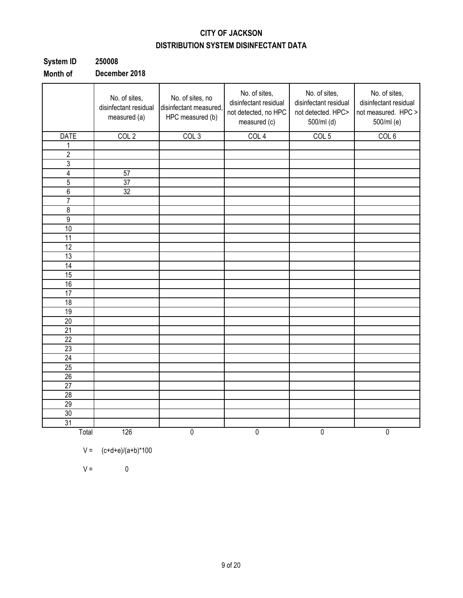## **CITY OF JACKSON DISTRIBUTION SYSTEM DISINFECTANT DATA**

| System ID | 250008          |
|-----------|-----------------|
| .         | <b>B</b> I. 004 |

**Month of December 2018**

|                 | No. of sites,<br>disinfectant residual<br>measured (a) | No. of sites, no<br>disinfectant measured,<br>HPC measured (b) | No. of sites,<br>disinfectant residual<br>not detected, no HPC<br>measured (c) | No. of sites,<br>disinfectant residual<br>not detected. HPC><br>500/ml (d) | No. of sites,<br>disinfectant residual<br>not measured. HPC ><br>500/ml (e) |
|-----------------|--------------------------------------------------------|----------------------------------------------------------------|--------------------------------------------------------------------------------|----------------------------------------------------------------------------|-----------------------------------------------------------------------------|
| <b>DATE</b>     | COL <sub>2</sub>                                       | COL <sub>3</sub>                                               | COL <sub>4</sub>                                                               | COL <sub>5</sub>                                                           | COL 6                                                                       |
| 1               |                                                        |                                                                |                                                                                |                                                                            |                                                                             |
| $\overline{c}$  |                                                        |                                                                |                                                                                |                                                                            |                                                                             |
| $\overline{3}$  |                                                        |                                                                |                                                                                |                                                                            |                                                                             |
| $\overline{4}$  | 57                                                     |                                                                |                                                                                |                                                                            |                                                                             |
| $\overline{5}$  | 37                                                     |                                                                |                                                                                |                                                                            |                                                                             |
| $\overline{6}$  | 32                                                     |                                                                |                                                                                |                                                                            |                                                                             |
| $\overline{7}$  |                                                        |                                                                |                                                                                |                                                                            |                                                                             |
| $\overline{8}$  |                                                        |                                                                |                                                                                |                                                                            |                                                                             |
| $\overline{9}$  |                                                        |                                                                |                                                                                |                                                                            |                                                                             |
| 10              |                                                        |                                                                |                                                                                |                                                                            |                                                                             |
| $\overline{11}$ |                                                        |                                                                |                                                                                |                                                                            |                                                                             |
| 12              |                                                        |                                                                |                                                                                |                                                                            |                                                                             |
| 13              |                                                        |                                                                |                                                                                |                                                                            |                                                                             |
| $\overline{14}$ |                                                        |                                                                |                                                                                |                                                                            |                                                                             |
| $\overline{15}$ |                                                        |                                                                |                                                                                |                                                                            |                                                                             |
| 16              |                                                        |                                                                |                                                                                |                                                                            |                                                                             |
| 17              |                                                        |                                                                |                                                                                |                                                                            |                                                                             |
| $\overline{18}$ |                                                        |                                                                |                                                                                |                                                                            |                                                                             |
| 19              |                                                        |                                                                |                                                                                |                                                                            |                                                                             |
| 20              |                                                        |                                                                |                                                                                |                                                                            |                                                                             |
| 21              |                                                        |                                                                |                                                                                |                                                                            |                                                                             |
| 22              |                                                        |                                                                |                                                                                |                                                                            |                                                                             |
| $\overline{23}$ |                                                        |                                                                |                                                                                |                                                                            |                                                                             |
| $\overline{24}$ |                                                        |                                                                |                                                                                |                                                                            |                                                                             |
| $\overline{25}$ |                                                        |                                                                |                                                                                |                                                                            |                                                                             |
| 26              |                                                        |                                                                |                                                                                |                                                                            |                                                                             |
| 27              |                                                        |                                                                |                                                                                |                                                                            |                                                                             |
| 28              |                                                        |                                                                |                                                                                |                                                                            |                                                                             |
| 29              |                                                        |                                                                |                                                                                |                                                                            |                                                                             |
| 30              |                                                        |                                                                |                                                                                |                                                                            |                                                                             |
| 31              |                                                        |                                                                |                                                                                |                                                                            |                                                                             |
| Total           | 126                                                    | $\overline{0}$                                                 | $\overline{0}$                                                                 | 0                                                                          | $\overline{0}$                                                              |

$$
V = (c+d+e)/(a+b)*100
$$

 $V = 0$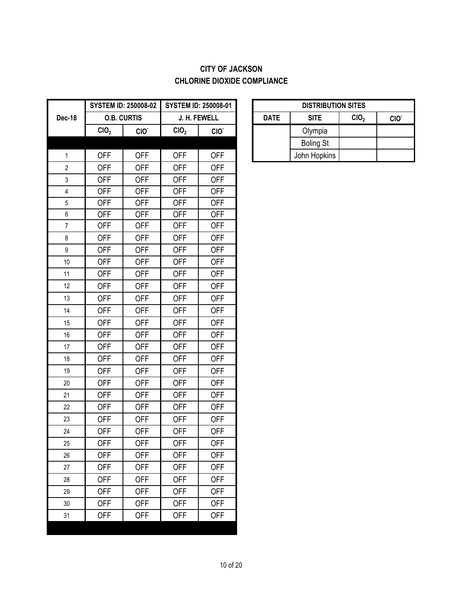## **CITY OF JACKSON CHLORINE DIOXIDE COMPLIANCE**

|                  | <b>SYSTEM ID: 250008-02</b> |                    |                  | <b>SYSTEM ID: 250008-01</b> |             | <b>DISTRIBUT</b> |
|------------------|-----------------------------|--------------------|------------------|-----------------------------|-------------|------------------|
| Dec-18           |                             | <b>O.B. CURTIS</b> |                  | J. H. FEWELL                | <b>DATE</b> | <b>SITE</b>      |
|                  | CIO <sub>2</sub>            | CIO.               | CIO <sub>2</sub> | CIO.                        |             | Olympia          |
|                  |                             |                    |                  |                             |             | <b>Boling St</b> |
| $\mathbf 1$      | <b>OFF</b>                  | <b>OFF</b>         | <b>OFF</b>       | <b>OFF</b>                  |             | John Hopkins     |
| $\mathbf{2}$     | <b>OFF</b>                  | <b>OFF</b>         | <b>OFF</b>       | <b>OFF</b>                  |             |                  |
| 3                | <b>OFF</b>                  | <b>OFF</b>         | <b>OFF</b>       | <b>OFF</b>                  |             |                  |
| $\overline{4}$   | <b>OFF</b>                  | <b>OFF</b>         | <b>OFF</b>       | <b>OFF</b>                  |             |                  |
| $\sqrt{5}$       | <b>OFF</b>                  | <b>OFF</b>         | <b>OFF</b>       | <b>OFF</b>                  |             |                  |
| $\boldsymbol{6}$ | <b>OFF</b>                  | <b>OFF</b>         | <b>OFF</b>       | <b>OFF</b>                  |             |                  |
| $\overline{7}$   | <b>OFF</b>                  | <b>OFF</b>         | <b>OFF</b>       | <b>OFF</b>                  |             |                  |
| 8                | <b>OFF</b>                  | <b>OFF</b>         | <b>OFF</b>       | <b>OFF</b>                  |             |                  |
| $\boldsymbol{9}$ | <b>OFF</b>                  | <b>OFF</b>         | <b>OFF</b>       | <b>OFF</b>                  |             |                  |
| 10               | <b>OFF</b>                  | <b>OFF</b>         | <b>OFF</b>       | <b>OFF</b>                  |             |                  |
| 11               | <b>OFF</b>                  | <b>OFF</b>         | <b>OFF</b>       | <b>OFF</b>                  |             |                  |
| 12               | <b>OFF</b>                  | <b>OFF</b>         | <b>OFF</b>       | <b>OFF</b>                  |             |                  |
| 13               | <b>OFF</b>                  | <b>OFF</b>         | <b>OFF</b>       | <b>OFF</b>                  |             |                  |
| 14               | <b>OFF</b>                  | <b>OFF</b>         | <b>OFF</b>       | <b>OFF</b>                  |             |                  |
| 15               | <b>OFF</b>                  | <b>OFF</b>         | <b>OFF</b>       | <b>OFF</b>                  |             |                  |
| 16               | <b>OFF</b>                  | <b>OFF</b>         | <b>OFF</b>       | <b>OFF</b>                  |             |                  |
| 17               | <b>OFF</b>                  | <b>OFF</b>         | <b>OFF</b>       | <b>OFF</b>                  |             |                  |
| 18               | <b>OFF</b>                  | <b>OFF</b>         | <b>OFF</b>       | <b>OFF</b>                  |             |                  |
| 19               | <b>OFF</b>                  | <b>OFF</b>         | <b>OFF</b>       | <b>OFF</b>                  |             |                  |
| 20               | <b>OFF</b>                  | <b>OFF</b>         | <b>OFF</b>       | <b>OFF</b>                  |             |                  |
| 21               | <b>OFF</b>                  | <b>OFF</b>         | <b>OFF</b>       | <b>OFF</b>                  |             |                  |
| 22               | <b>OFF</b>                  | <b>OFF</b>         | <b>OFF</b>       | <b>OFF</b>                  |             |                  |
| 23               | <b>OFF</b>                  | <b>OFF</b>         | <b>OFF</b>       | <b>OFF</b>                  |             |                  |
| 24               | <b>OFF</b>                  | <b>OFF</b>         | <b>OFF</b>       | <b>OFF</b>                  |             |                  |
| 25               | <b>OFF</b>                  | <b>OFF</b>         | <b>OFF</b>       | <b>OFF</b>                  |             |                  |
| 26               | <b>OFF</b>                  | <b>OFF</b>         | <b>OFF</b>       | <b>OFF</b>                  |             |                  |
| 27               | <b>OFF</b>                  | <b>OFF</b>         | <b>OFF</b>       | <b>OFF</b>                  |             |                  |
| 28               | <b>OFF</b>                  | <b>OFF</b>         | <b>OFF</b>       | <b>OFF</b>                  |             |                  |
| 29               | <b>OFF</b>                  | <b>OFF</b>         | <b>OFF</b>       | <b>OFF</b>                  |             |                  |
| 30               | <b>OFF</b>                  | <b>OFF</b>         | <b>OFF</b>       | <b>OFF</b>                  |             |                  |
| 31               | <b>OFF</b>                  | <b>OFF</b>         | <b>OFF</b>       | <b>OFF</b>                  |             |                  |
|                  |                             |                    |                  |                             |             |                  |

| <b>DISTRIBUTION SITES</b> |                                                     |  |  |  |  |  |  |  |  |  |  |  |
|---------------------------|-----------------------------------------------------|--|--|--|--|--|--|--|--|--|--|--|
| <b>DATE</b>               | CIO <sub>2</sub><br><b>SITE</b><br>CIO <sup>-</sup> |  |  |  |  |  |  |  |  |  |  |  |
|                           | Olympia                                             |  |  |  |  |  |  |  |  |  |  |  |
|                           | <b>Boling St</b>                                    |  |  |  |  |  |  |  |  |  |  |  |
|                           | John Hopkins                                        |  |  |  |  |  |  |  |  |  |  |  |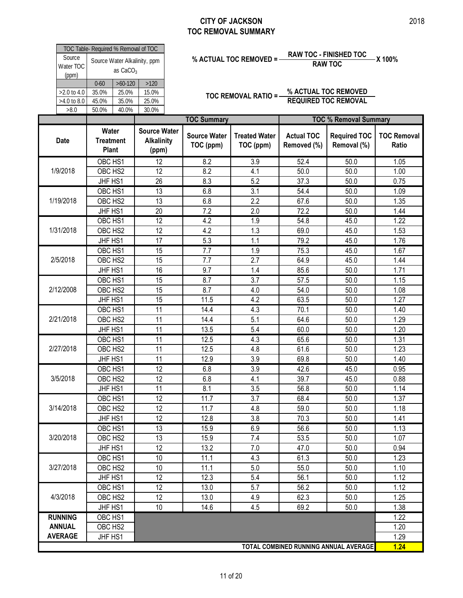|                    | Water                                |                | Source Wate                  |  |  |  |  |  |  |  |  |
|--------------------|--------------------------------------|----------------|------------------------------|--|--|--|--|--|--|--|--|
|                    |                                      |                |                              |  |  |  |  |  |  |  |  |
| >8.0               | 50.0%                                | 40.0%          | 30.0%                        |  |  |  |  |  |  |  |  |
| $>4.0$ to 8.0      | 45.0%                                | 35.0%          | 25.0%                        |  |  |  |  |  |  |  |  |
| $>2.0$ to 4.0      | 35.0%                                | 15.0%<br>25.0% |                              |  |  |  |  |  |  |  |  |
|                    | $>60-120$<br>$0 - 60$<br>>120        |                |                              |  |  |  |  |  |  |  |  |
| Water TOC<br>(ppm) |                                      | as $CaCO3$     |                              |  |  |  |  |  |  |  |  |
| Source             |                                      |                | Source Water Alkalinity, ppm |  |  |  |  |  |  |  |  |
|                    | TOC Table- Required % Removal of TOC |                |                              |  |  |  |  |  |  |  |  |

# **% ACTUAL TOC REMOVED = RAW TOC - FINISHED TOC X 100% RAW TOC**

**TOC REMOVAL RATIO = % ACTUAL TOC REMOVED REQUIRED TOC REMOVAL**

|                |                                           |                                                   | <b>TOC Summary</b>               |                                   | <b>TOC % Removal Summary</b>     |                                       |                             |  |  |
|----------------|-------------------------------------------|---------------------------------------------------|----------------------------------|-----------------------------------|----------------------------------|---------------------------------------|-----------------------------|--|--|
| <b>Date</b>    | Water<br><b>Treatment</b><br><b>Plant</b> | <b>Source Water</b><br><b>Alkalinity</b><br>(ppm) | <b>Source Water</b><br>TOC (ppm) | <b>Treated Water</b><br>TOC (ppm) | <b>Actual TOC</b><br>Removed (%) | <b>Required TOC</b><br>Removal (%)    | <b>TOC Removal</b><br>Ratio |  |  |
|                | OBC HS1                                   | $\overline{12}$                                   | 8.2                              | 3.9                               | 52.4                             | 50.0                                  | 1.05                        |  |  |
| 1/9/2018       | OBC HS2                                   | 12                                                | 8.2                              | 4.1                               | 50.0                             | 50.0                                  | 1.00                        |  |  |
|                | JHF HS1                                   | 26                                                | 8.3                              | 5.2                               | 37.3                             | 50.0                                  | 0.75                        |  |  |
|                | OBC HS1                                   | 13                                                | 6.8                              | 3.1                               | 54.4                             | 50.0                                  | 1.09                        |  |  |
| 1/19/2018      | OBC HS2                                   | 13                                                | 6.8                              | 2.2                               | 67.6                             | 50.0                                  | 1.35                        |  |  |
|                | JHF HS1                                   | 20                                                | 7.2                              | 2.0                               | 72.2                             | 50.0                                  | 1.44                        |  |  |
|                | OBC HS1                                   | 12                                                | 4.2                              | 1.9                               | 54.8                             | 45.0                                  | 1.22                        |  |  |
| 1/31/2018      | OBC HS2                                   | 12                                                | 4.2                              | 1.3                               | 69.0                             | 45.0                                  | 1.53                        |  |  |
|                | JHF HS1                                   | 17                                                | 5.3                              | 1.1                               | 79.2                             | 45.0                                  | 1.76                        |  |  |
|                | OBC HS1                                   | 15                                                | $\overline{7.7}$                 | 1.9                               | 75.3                             | 45.0                                  | 1.67                        |  |  |
| 2/5/2018       | OBC HS2                                   | 15                                                | 7.7                              | 2.7                               | 64.9                             | 45.0                                  | 1.44                        |  |  |
|                | JHF HS1                                   | 16                                                | 9.7                              | 1.4                               | 85.6                             | 50.0                                  | 1.71                        |  |  |
|                | OBC HS1                                   | 15                                                | 8.7                              | 3.7                               | 57.5                             | 50.0                                  | 1.15                        |  |  |
| 2/12/2008      | OBC HS2                                   | 15                                                | 8.7                              | 4.0                               | 54.0                             | 50.0                                  | 1.08                        |  |  |
|                | JHF HS1                                   | 15                                                | 11.5                             | 4.2                               | 63.5                             | 50.0                                  | 1.27                        |  |  |
|                | OBC HS1                                   | 11                                                | 14.4                             | 4.3                               | 70.1                             | 50.0                                  | 1.40                        |  |  |
| 2/21/2018      | OBC HS2                                   | 11                                                | 14.4                             | 5.1                               | 64.6                             | 50.0                                  | 1.29                        |  |  |
|                | JHF HS1                                   | 11                                                | 13.5                             | 5.4                               | 60.0                             | 50.0                                  | 1.20                        |  |  |
|                | OBC HS1                                   | 11                                                | 12.5                             | 4.3                               | 65.6                             | 50.0                                  | 1.31                        |  |  |
| 2/27/2018      | OBC HS2                                   | 11                                                | 12.5                             | 4.8                               | 61.6                             | 50.0                                  | 1.23                        |  |  |
|                | JHF HS1                                   | 11                                                | 12.9                             | 3.9                               | 69.8                             | 50.0                                  | 1.40                        |  |  |
|                | OBC HS1                                   | $\overline{12}$                                   | 6.8                              | 3.9                               | 42.6                             | 45.0                                  | 0.95                        |  |  |
| 3/5/2018       | OBC HS2                                   | 12                                                | 6.8                              | 4.1                               | 39.7                             | 45.0                                  | 0.88                        |  |  |
|                | JHF HS1                                   | 11                                                | 8.1                              | 3.5                               | 56.8                             | 50.0                                  | 1.14                        |  |  |
|                | OBC HS1                                   | $\overline{12}$                                   | 11.7                             | 3.7                               | 68.4                             | 50.0                                  | 1.37                        |  |  |
| 3/14/2018      | OBC HS2                                   | 12                                                | 11.7                             | 4.8                               | 59.0                             | 50.0                                  | 1.18                        |  |  |
|                | JHF HS1                                   | 12                                                | 12.8                             | 3.8                               | 70.3                             | 50.0                                  | 1.41                        |  |  |
|                | OBC HS1                                   | $\overline{13}$                                   | 15.9                             | 6.9                               | 56.6                             | 50.0                                  | 1.13                        |  |  |
| 3/20/2018      | OBC HS2                                   | 13                                                | 15.9                             | 7.4                               | 53.5                             | 50.0                                  | 1.07                        |  |  |
|                | JHF HS1                                   | 12                                                | 13.2                             | 7.0                               | 47.0                             | 50.0                                  | 0.94                        |  |  |
|                | OBC HS1                                   | 10                                                | 11.1                             | 4.3                               | 61.3                             | 50.0                                  | 1.23                        |  |  |
| 3/27/2018      | OBC HS2                                   | 10                                                | 11.1                             | 5.0                               | 55.0                             | 50.0                                  | 1.10                        |  |  |
|                | JHF HS1                                   | 12                                                | 12.3                             | 5.4                               | 56.1                             | 50.0                                  | 1.12                        |  |  |
|                | OBC HS1                                   | 12                                                | 13.0                             | 5.7                               | 56.2                             | 50.0                                  | 1.12                        |  |  |
| 4/3/2018       | OBC HS2                                   | 12                                                | 13.0                             | 4.9                               | 62.3                             | 50.0                                  | 1.25                        |  |  |
|                | JHF HS1                                   | 10                                                | 14.6                             | 4.5                               | 69.2                             | 50.0                                  | 1.38                        |  |  |
| <b>RUNNING</b> | OBC HS1                                   |                                                   |                                  |                                   |                                  |                                       | 1.22                        |  |  |
| <b>ANNUAL</b>  | OBC HS2                                   |                                                   |                                  |                                   |                                  |                                       | 1.20                        |  |  |
| <b>AVERAGE</b> | JHF HS1                                   |                                                   |                                  |                                   |                                  |                                       | 1.29                        |  |  |
|                |                                           |                                                   |                                  |                                   |                                  | TOTAL COMBINED RUNNING ANNUAL AVERAGE | 1.24                        |  |  |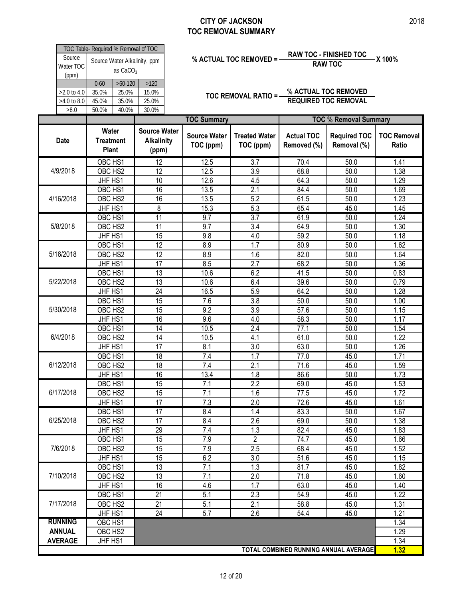| Source                       | TOC Table- Required % Removal of TOC |                             |                                    |                                  | % ACTUAL TOC REMOVED =            |                                  | <b>RAW TOC - FINISHED TOC</b>                       | X 100%                      |
|------------------------------|--------------------------------------|-----------------------------|------------------------------------|----------------------------------|-----------------------------------|----------------------------------|-----------------------------------------------------|-----------------------------|
| Water TOC<br>(ppm)           |                                      | as $CaCO3$                  | Source Water Alkalinity, ppm       |                                  |                                   |                                  | <b>RAW TOC</b>                                      |                             |
| >2.0 to 4.0<br>$>4.0$ to 8.0 | $0 - 60$<br>35.0%<br>45.0%           | $>60-120$<br>25.0%<br>35.0% | >120<br>15.0%<br>25.0%             |                                  | TOC REMOVAL RATIO =-              |                                  | % ACTUAL TOC REMOVED<br><b>REQUIRED TOC REMOVAL</b> |                             |
| >8.0                         | 50.0%                                | 40.0%                       | 30.0%                              | <b>TOC Summary</b>               |                                   |                                  | <b>TOC % Removal Summary</b>                        |                             |
|                              | Water                                |                             | <b>Source Water</b>                |                                  |                                   |                                  |                                                     |                             |
| <b>Date</b>                  | <b>Treatment</b><br><b>Plant</b>     |                             | <b>Alkalinity</b><br>(ppm)         | <b>Source Water</b><br>TOC (ppm) | <b>Treated Water</b><br>TOC (ppm) | <b>Actual TOC</b><br>Removed (%) | <b>Required TOC</b><br>Removal (%)                  | <b>TOC Removal</b><br>Ratio |
|                              | OBC HS1                              |                             | $\overline{12}$                    | 12.5                             | $\overline{3.7}$                  | 70.4                             | 50.0                                                | 1.41                        |
| 4/9/2018                     | OBC HS2                              |                             | 12                                 | 12.5                             | 3.9                               | 68.8                             | 50.0                                                | 1.38                        |
|                              | JHF HS1                              |                             | 10                                 | 12.6                             | 4.5                               | 64.3                             | 50.0                                                | 1.29                        |
|                              | OBC HS1                              |                             | 16                                 | 13.5                             | $\overline{2.1}$                  | 84.4                             | 50.0                                                | 1.69                        |
| 4/16/2018                    | OBC HS2                              |                             | 16                                 | 13.5                             | 5.2                               | 61.5                             | 50.0                                                | 1.23                        |
|                              | JHF HS1                              |                             | 8                                  | 15.3                             | 5.3                               | 65.4                             | 45.0                                                | 1.45                        |
| 5/8/2018                     | OBC HS1<br>OBC HS2                   |                             | $\overline{11}$<br>$\overline{11}$ | 9.7<br>9.7                       | $\overline{3.7}$<br>3.4           | 61.9<br>64.9                     | 50.0<br>50.0                                        | 1.24<br>1.30                |
|                              | JHF HS1                              |                             | 15                                 | 9.8                              | 4.0                               | 59.2                             | 50.0                                                | 1.18                        |
|                              | OBC HS1                              |                             | 12                                 | 8.9                              | $\overline{1.7}$                  | 80.9                             | $\frac{1}{50.0}$                                    | 1.62                        |
| 5/16/2018                    | OBC HS2                              |                             | 12                                 | 8.9                              | 1.6                               | 82.0                             | 50.0                                                | 1.64                        |
|                              | JHF HS1                              |                             | $\overline{17}$                    | 8.5                              | $\overline{2.7}$                  | 68.2                             | 50.0                                                | 1.36                        |
|                              | OBC HS1                              |                             | $\overline{13}$                    | 10.6                             | 6.2                               | 41.5                             | 50.0                                                | 0.83                        |
| 5/22/2018                    | OBC HS2                              |                             | $\overline{13}$                    | 10.6                             | 6.4                               | 39.6                             | 50.0                                                | 0.79                        |
|                              | JHF HS1                              |                             | 24                                 | 16.5                             | 5.9                               | 64.2                             | 50.0                                                | 1.28                        |
|                              | OBC HS1                              |                             | 15                                 | 7.6                              | 3.8                               | 50.0                             | 50.0                                                | 1.00                        |
| 5/30/2018                    | OBC HS2                              |                             | 15                                 | 9.2                              | 3.9                               | 57.6                             | 50.0                                                | 1.15                        |
|                              | JHF HS1                              |                             | 16                                 | 9.6                              | 4.0                               | 58.3                             | 50.0                                                | 1.17                        |
|                              | OBC HS1                              |                             | $\overline{14}$                    | 10.5                             | 2.4                               | 77.1                             | 50.0                                                | 1.54                        |
| 6/4/2018                     | OBC HS2                              |                             | 14                                 | 10.5                             | 4.1                               | 61.0                             | 50.0                                                | 1.22                        |
|                              | JHF HS1                              |                             | 17                                 | 8.1                              | 3.0                               | 63.0                             | 50.0                                                | 1.26                        |
|                              | OBC HS1                              |                             | 18                                 | 7.4                              | 1.7                               | 77.0                             | 45.0                                                | 1.71                        |
| 6/12/2018                    | OBC HS2                              |                             | 18                                 | 7.4                              | 2.1                               | 71.6                             | 45.0                                                | 1.59                        |
|                              | JHF HS1                              |                             | 16                                 | 13.4                             | 1.8                               | 86.6                             | 50.0                                                | 1.73                        |
|                              | OBC HS1                              |                             | 15                                 | 7.1                              | 2.2                               | 69.0                             | 45.0                                                | 1.53                        |
| 6/17/2018                    | OBC HS2                              |                             | 15                                 | 7.1                              | 1.6                               | 77.5                             | 45.0                                                | 1.72                        |
|                              | JHF HS1                              |                             | 17                                 | 7.3                              | 2.0                               | 72.6                             | 45.0                                                | 1.61                        |
|                              | OBC HS1                              |                             | 17                                 | 8.4                              | 1.4                               | 83.3                             | 50.0                                                | 1.67                        |
| 6/25/2018                    | OBC HS2                              |                             | 17                                 | 8.4                              | 2.6                               | 69.0                             | 50.0                                                | 1.38                        |
|                              | JHF HS1                              |                             | 29                                 | 7.4                              | 1.3                               | 82.4                             | 45.0                                                | 1.83                        |
|                              | OBC HS1                              |                             | 15                                 | 7.9                              | $\overline{2}$                    | 74.7                             | 45.0                                                | 1.66                        |
| 7/6/2018                     | OBC HS2                              |                             | 15                                 | 7.9                              | 2.5                               | 68.4                             | 45.0                                                | 1.52                        |
|                              | JHF HS1                              |                             | 15                                 | 6.2                              | 3.0                               | 51.6                             | 45.0                                                | 1.15                        |
|                              | OBC HS1                              |                             | 13                                 | 7.1                              | 1.3                               | 81.7                             | 45.0                                                | 1.82                        |
| 7/10/2018                    | OBC HS2                              |                             | 13                                 | 7.1                              | 2.0                               | 71.8                             | 45.0                                                | 1.60                        |
|                              | JHF HS1                              |                             | 16                                 | 4.6                              | 1.7                               | 63.0                             | 45.0                                                | 1.40                        |
|                              | OBC HS1                              |                             | 21                                 | 5.1                              | 2.3                               | 54.9                             | 45.0                                                | 1.22                        |
| 7/17/2018                    | OBC HS2                              |                             | 21                                 | 5.1                              | 2.1                               | 58.8                             | 45.0                                                | 1.31                        |
|                              | JHF HS1                              |                             | 24                                 | 5.7                              | 2.6                               | $\overline{54.4}$                | 45.0                                                | 1.21                        |
| <b>RUNNING</b>               | OBC HS1                              |                             |                                    |                                  |                                   |                                  |                                                     | 1.34                        |
| <b>ANNUAL</b>                | OBC HS2                              |                             |                                    |                                  |                                   |                                  |                                                     | 1.29                        |
| <b>AVERAGE</b>               | JHF HS1                              |                             |                                    |                                  |                                   |                                  |                                                     | 1.34                        |

**TOTAL COMBINED RUNNING ANNUAL AVERAGE 1.32**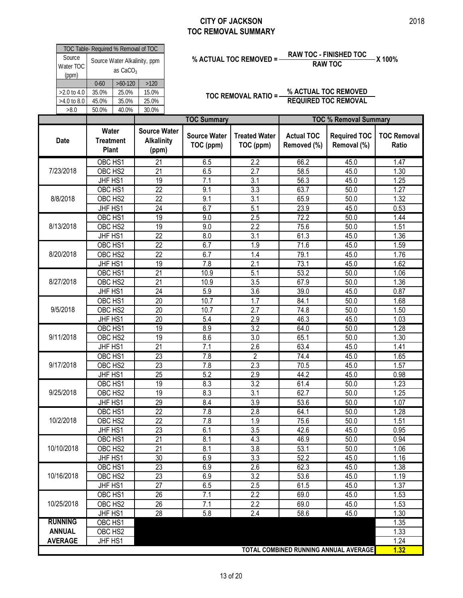|                                    | TOC Table- Required % Removal of TOC                                        |                         |                                                   |                                  |                                   |                                  | <b>RAW TOC - FINISHED TOC</b>                       |                         |
|------------------------------------|-----------------------------------------------------------------------------|-------------------------|---------------------------------------------------|----------------------------------|-----------------------------------|----------------------------------|-----------------------------------------------------|-------------------------|
| Source<br>Water TOC<br>(ppm)       | Source Water Alkalinity, ppm<br>as $CaCO3$<br>$>60-120$<br>$0 - 60$<br>>120 |                         |                                                   |                                  | % ACTUAL TOC REMOVED =            |                                  | <b>RAW TOC</b>                                      | X 100%                  |
| >2.0 to 4.0<br>>4.0 to 8.0<br>>8.0 | 35.0%<br>45.0%<br>50.0%                                                     | 25.0%<br>35.0%<br>40.0% | 15.0%<br>25.0%<br>30.0%                           |                                  | TOC REMOVAL RATIO =-              |                                  | % ACTUAL TOC REMOVED<br><b>REQUIRED TOC REMOVAL</b> |                         |
|                                    |                                                                             |                         |                                                   | <b>TOC Summary</b>               |                                   |                                  | <b>TOC % Removal Summary</b>                        |                         |
| <b>Date</b>                        | Water<br><b>Treatment</b><br><b>Plant</b>                                   |                         | <b>Source Water</b><br><b>Alkalinity</b><br>(ppm) | <b>Source Water</b><br>TOC (ppm) | <b>Treated Water</b><br>TOC (ppm) | <b>Actual TOC</b><br>Removed (%) | <b>Required TOC</b><br>Removal (%)                  | <b>TOC Ren</b><br>Ratio |
|                                    | OBC HS1                                                                     |                         | $\overline{21}$                                   | 6.5                              | 2.2                               | 66.2                             | 45.0                                                | 1.47                    |
| 7/23/2018                          | OBC HS2                                                                     |                         | $\overline{21}$                                   | 6.5                              | $\overline{2.7}$                  | 58.5                             | 45.0                                                | 1.30                    |
|                                    | JHF HS1                                                                     |                         | 19                                                | 7.1                              | 3.1                               | 56.3                             | 45.0                                                | 1.25                    |
|                                    | OBC HS1                                                                     |                         | $\overline{22}$                                   | 9.1                              | 3.3                               | 63.7                             | 50.0                                                | 1.27                    |
| 8/8/2018                           | OBC HS2                                                                     |                         | $\overline{22}$                                   | 9.1                              | $\overline{3.1}$                  | 65.9                             | 50.0                                                | 1.32                    |
|                                    | JHF HS1                                                                     |                         | 24                                                | 6.7                              | 5.1                               | 23.9                             | 45.0                                                | 0.53                    |
|                                    | OBC HS1                                                                     |                         | 19                                                | 9.0                              | 2.5                               | 72.2                             | 50.0                                                | 1.44                    |
| 8/13/2018                          | OBC HS2                                                                     |                         | 19                                                | 9.0                              | 2.2                               | 75.6                             | 50.0                                                | 1.51                    |
|                                    | JHF HS1                                                                     |                         | 22                                                | 8.0                              | 3.1                               | 61.3                             | 45.0                                                | 1.36                    |
|                                    | OBC HS1                                                                     |                         | $\overline{22}$                                   | 6.7                              | 1.9                               | 71.6                             | 45.0                                                | 1.59                    |
| 8/20/2018                          | OBC HS2                                                                     |                         | 22                                                | 6.7                              | 1.4                               | 79.1                             | 45.0                                                | 1.76                    |
|                                    | JHF HS1                                                                     |                         | 19                                                | 7.8                              | 2.1                               | 73.1                             | 45.0                                                | 1.62                    |
|                                    | OBC HS1                                                                     |                         | $\overline{21}$                                   | 10.9                             | 5.1                               | 53.2                             | 50.0                                                | 1.06                    |
| 8/27/2018                          | OBC HS2                                                                     |                         | 21                                                | 10.9                             | 3.5                               | 67.9                             | 50.0                                                | 1.36                    |
|                                    | JHF HS1                                                                     |                         | 24                                                | 5.9                              | 3.6                               | 39.0                             | 45.0                                                | 0.87                    |
|                                    | OBC HS1                                                                     |                         | 20                                                | 10.7                             | 1.7                               | 84.1                             | 50.0                                                | 1.68                    |
| 9/5/2018                           | OBC HS2                                                                     |                         | 20                                                | 10.7                             | 2.7                               | 74.8                             | 50.0                                                | 1.50                    |
|                                    | JHF HS1                                                                     |                         | 20                                                | 5.4                              | 2.9                               | 46.3                             | 45.0                                                | 1.03                    |
|                                    | OBC HS1                                                                     |                         | 19                                                | 8.9                              | $\overline{3.2}$                  | 64.0                             | 50.0                                                | 1.28                    |
| 9/11/2018                          | OBC HS2                                                                     |                         | 19                                                | 8.6                              | 3.0                               | 65.1                             | 50.0                                                | 1.30                    |
|                                    | JHF HS1                                                                     |                         | 21                                                | 7.1                              | 2.6                               | 63.4                             | 45.0                                                | 1.41                    |
|                                    | OBC HS1                                                                     |                         | $\overline{23}$                                   | 7.8                              | $\overline{2}$                    | 74.4                             | 45.0                                                | 1.65                    |
| 9/17/2018                          | OBC HS2                                                                     |                         | 23                                                | 7.8                              | 2.3                               | 70.5                             | 45.0                                                | 1.57                    |
|                                    | JHF HS1                                                                     |                         | 25                                                | 5.2                              | 2.9                               | 44.2                             | 45.0                                                | 0.98                    |
|                                    | OBC HS1                                                                     |                         | 19                                                | 8.3                              | 3.2                               | 61.4                             | 50.0                                                | 1.23                    |
| 9/25/2018                          | OBC HS2                                                                     |                         | 19                                                | 8.3                              | 3.1                               | 62.7                             | 50.0                                                | 1.25                    |
|                                    | JHF HS1                                                                     |                         | 29                                                | 8.4                              | 3.9                               | 53.6                             | 50.0                                                | 1.07                    |
|                                    | OBC HS1                                                                     |                         | $\overline{22}$                                   | 7.8                              | 2.8                               | 64.1                             | 50.0                                                | 1.28                    |
| 10/2/2018                          | OBC HS2                                                                     |                         | 22                                                | 7.8                              | 1.9                               | 75.6                             | 50.0                                                | 1.51                    |
|                                    | JHF HS1                                                                     |                         | 23                                                | 6.1                              | 3.5                               | 42.6                             | 45.0                                                | 0.95                    |
|                                    | OBC HS1                                                                     |                         | 21                                                | 8.1                              | 4.3                               | 46.9                             | 50.0                                                | 0.94                    |
| 10/10/2018                         | OBC HS2                                                                     |                         | 21                                                | 8.1                              | 3.8                               | 53.1                             | 50.0                                                | 1.06                    |
|                                    | JHF HS1                                                                     |                         | 30                                                | 6.9                              | 3.3                               | 52.2                             | 45.0                                                | 1.16                    |
| 10/16/2018                         | OBC HS1<br>OBC HS2                                                          |                         | 23                                                | 6.9                              | 2.6                               | 62.3                             | 45.0                                                | 1.38                    |
|                                    | JHF HS1                                                                     |                         | 23<br>$\overline{27}$                             | 6.9<br>6.5                       | 3.2<br>2.5                        | 53.6<br>61.5                     | 45.0<br>45.0                                        | 1.19<br>1.37            |
|                                    | OBC HS1                                                                     |                         | 26                                                | 7.1                              | 2.2                               | 69.0                             | 45.0                                                | 1.53                    |
| 10/25/2018                         | OBC HS2                                                                     |                         | 26                                                | 7.1                              | 2.2                               |                                  |                                                     | 1.53                    |
|                                    |                                                                             |                         | 28                                                | 5.8                              | 2.4                               | 69.0                             | 45.0                                                |                         |
| <b>RUNNING</b>                     | JHF HS1<br>OBC HS1                                                          |                         |                                                   |                                  |                                   | 58.6                             | 45.0                                                | 1.30<br>1.35            |
| <b>ANNUAL</b>                      | OBC HS2                                                                     |                         |                                                   |                                  |                                   |                                  |                                                     | 1.33                    |
| <b>AVERAGE</b>                     | JHF HS1                                                                     |                         |                                                   |                                  |                                   |                                  |                                                     | 1.24                    |
|                                    |                                                                             |                         |                                                   |                                  |                                   |                                  |                                                     |                         |

**TOC Removal Ratio**

**1.32**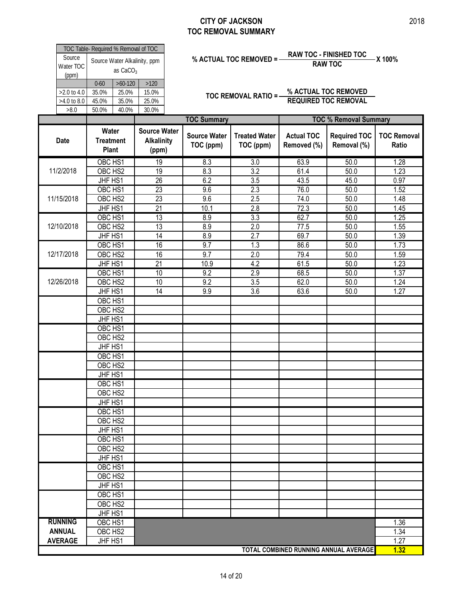| Source<br>Water TOC<br>(ppm)       |                                           | as CaCO <sub>3</sub>                 | TOC Table- Required % Removal of TOC<br>Source Water Alkalinity, ppm |                                  | % ACTUAL TOC REMOVED = -          |                                  | <b>RAW TOC - FINISHED TOC</b><br><b>RAW TOC</b>     | -X 100%                     |
|------------------------------------|-------------------------------------------|--------------------------------------|----------------------------------------------------------------------|----------------------------------|-----------------------------------|----------------------------------|-----------------------------------------------------|-----------------------------|
| >2.0 to 4.0<br>>4.0 to 8.0<br>>8.0 | $0 - 60$<br>35.0%<br>45.0%<br>50.0%       | $>60-120$<br>25.0%<br>35.0%<br>40.0% | >120<br>15.0%<br>25.0%<br>30.0%                                      |                                  | <b>TOC REMOVAL RATIO =-</b>       |                                  | % ACTUAL TOC REMOVED<br><b>REQUIRED TOC REMOVAL</b> |                             |
|                                    |                                           |                                      |                                                                      | <b>TOC Summary</b>               |                                   |                                  | <b>TOC % Removal Summary</b>                        |                             |
| Date                               | Water<br><b>Treatment</b><br><b>Plant</b> |                                      | <b>Source Water</b><br><b>Alkalinity</b><br>(ppm)                    | <b>Source Water</b><br>TOC (ppm) | <b>Treated Water</b><br>TOC (ppm) | <b>Actual TOC</b><br>Removed (%) | <b>Required TOC</b><br>Removal (%)                  | <b>TOC Removal</b><br>Ratio |
| 11/2/2018                          | OBC HS1<br>OBC HS2                        |                                      | 19<br>19                                                             | 8.3<br>8.3                       | 3.0<br>$\overline{3.2}$           | 63.9<br>61.4                     | 50.0<br>50.0                                        | 1.28<br>1.23                |
|                                    | JHF HS1                                   |                                      | 26                                                                   | 6.2                              | 3.5                               | 43.5                             | 45.0                                                | 0.97                        |
|                                    | OBC HS1                                   |                                      | $\overline{23}$                                                      | 9.6                              | 2.3                               | 76.0                             | 50.0                                                | 1.52                        |
| 11/15/2018                         | OBC HS2                                   |                                      | 23                                                                   | 9.6                              | 2.5                               | 74.0                             | 50.0                                                | 1.48                        |
|                                    | JHF HS1                                   |                                      | 21                                                                   | 10.1                             | 2.8                               | 72.3                             | 50.0                                                | 1.45                        |
|                                    | OBC HS1                                   |                                      | $\overline{13}$                                                      | 8.9                              | 3.3                               | 62.7                             | 50.0                                                | 1.25                        |
| 12/10/2018                         | OBC HS2                                   |                                      | $\overline{13}$                                                      | 8.9                              | $\overline{2.0}$                  | 77.5                             | 50.0                                                | 1.55                        |
|                                    | JHF HS1                                   |                                      | 14                                                                   | 8.9                              | $\overline{2.7}$                  | 69.7                             | 50.0                                                | 1.39                        |
|                                    | OBC HS1                                   |                                      | 16                                                                   | 9.7                              | 1.3                               | 86.6                             | 50.0                                                | 1.73                        |
| 12/17/2018                         | OBC HS2                                   |                                      | 16                                                                   | 9.7                              | 2.0                               | 79.4                             | 50.0                                                | 1.59                        |
|                                    | JHF HS1                                   |                                      | $\overline{21}$                                                      | 10.9                             | 4.2                               | 61.5                             | 50.0                                                | 1.23                        |
|                                    | OBC HS1                                   |                                      | $\overline{10}$                                                      | 9.2                              | 2.9                               | 68.5                             | 50.0                                                | 1.37                        |
| 12/26/2018                         | OBC HS2                                   |                                      | 10                                                                   | 9.2                              | 3.5                               | 62.0                             | 50.0                                                | 1.24                        |
|                                    | JHF HS1                                   |                                      | $\overline{14}$                                                      | 9.9                              | 3.6                               | 63.6                             | 50.0                                                | 1.27                        |
|                                    | OBC HS1                                   |                                      |                                                                      |                                  |                                   |                                  |                                                     |                             |
|                                    | OBC HS2                                   |                                      |                                                                      |                                  |                                   |                                  |                                                     |                             |
|                                    | JHF HS1                                   |                                      |                                                                      |                                  |                                   |                                  |                                                     |                             |
|                                    | OBC HS1                                   |                                      |                                                                      |                                  |                                   |                                  |                                                     |                             |
|                                    | OBC HS2                                   |                                      |                                                                      |                                  |                                   |                                  |                                                     |                             |
|                                    | JHF HS1                                   |                                      |                                                                      |                                  |                                   |                                  |                                                     |                             |
|                                    | OBC HS1                                   |                                      |                                                                      |                                  |                                   |                                  |                                                     |                             |
|                                    | OBC HS2                                   |                                      |                                                                      |                                  |                                   |                                  |                                                     |                             |
|                                    | JHF HS1                                   |                                      |                                                                      |                                  |                                   |                                  |                                                     |                             |
|                                    | OBC HS1                                   |                                      |                                                                      |                                  |                                   |                                  |                                                     |                             |
|                                    | OBC HS2                                   |                                      |                                                                      |                                  |                                   |                                  |                                                     |                             |
|                                    | JHF HS1                                   |                                      |                                                                      |                                  |                                   |                                  |                                                     |                             |
|                                    | OBC HS1                                   |                                      |                                                                      |                                  |                                   |                                  |                                                     |                             |
|                                    | OBC HS2                                   |                                      |                                                                      |                                  |                                   |                                  |                                                     |                             |
|                                    | JHF HS1                                   |                                      |                                                                      |                                  |                                   |                                  |                                                     |                             |
|                                    | OBC HS1                                   |                                      |                                                                      |                                  |                                   |                                  |                                                     |                             |
|                                    | OBC HS2                                   |                                      |                                                                      |                                  |                                   |                                  |                                                     |                             |
|                                    | JHF HS1                                   |                                      |                                                                      |                                  |                                   |                                  |                                                     |                             |
|                                    | OBC HS1                                   |                                      |                                                                      |                                  |                                   |                                  |                                                     |                             |
|                                    | OBC HS2<br>JHF HS1                        |                                      |                                                                      |                                  |                                   |                                  |                                                     |                             |
|                                    | OBC HS1                                   |                                      |                                                                      |                                  |                                   |                                  |                                                     |                             |
|                                    | OBC HS2                                   |                                      |                                                                      |                                  |                                   |                                  |                                                     |                             |
|                                    | JHF HS1                                   |                                      |                                                                      |                                  |                                   |                                  |                                                     |                             |
| <b>RUNNING</b>                     | OBC HS1                                   |                                      |                                                                      |                                  |                                   |                                  |                                                     | 1.36                        |
| <b>ANNUAL</b>                      | OBC HS2                                   |                                      |                                                                      |                                  |                                   |                                  |                                                     | 1.34                        |
| <b>AVERAGE</b>                     | JHF HS1                                   |                                      |                                                                      |                                  |                                   |                                  |                                                     | 1.27                        |
|                                    |                                           |                                      |                                                                      |                                  |                                   |                                  | TOTAL COMBINED RUNNING ANNUAL AVERAGE               | 1.32                        |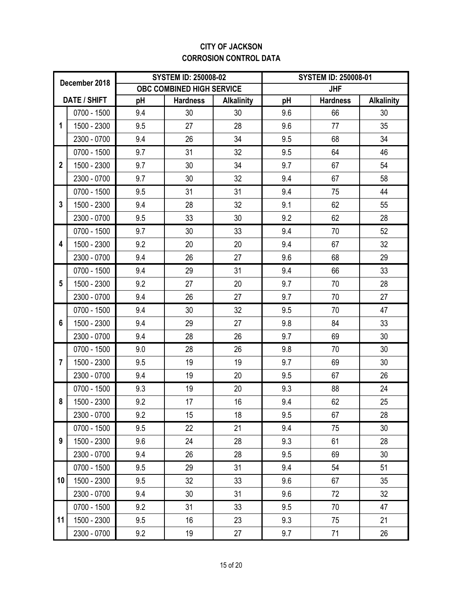### **CITY OF JACKSON CORROSION CONTROL DATA**

|                | December 2018       |     | <b>SYSTEM ID: 250008-02</b> |                   |     | <b>SYSTEM ID: 250008-01</b> |                   |  |  |  |
|----------------|---------------------|-----|-----------------------------|-------------------|-----|-----------------------------|-------------------|--|--|--|
|                |                     |     | OBC COMBINED HIGH SERVICE   |                   |     | <b>JHF</b>                  |                   |  |  |  |
|                | <b>DATE / SHIFT</b> | pH  | <b>Hardness</b>             | <b>Alkalinity</b> | pH  | <b>Hardness</b>             | <b>Alkalinity</b> |  |  |  |
|                | 0700 - 1500         | 9.4 | 30                          | 30                | 9.6 | 66                          | 30                |  |  |  |
| 1              | 1500 - 2300         | 9.5 | 27                          | 28                | 9.6 | 77                          | 35                |  |  |  |
|                | 2300 - 0700         | 9.4 | 26                          | 34                | 9.5 | 68                          | 34                |  |  |  |
|                | 0700 - 1500         | 9.7 | 31                          | 32                | 9.5 | 64                          | 46                |  |  |  |
| $\overline{2}$ | 1500 - 2300         | 9.7 | 30                          | 34                | 9.7 | 67                          | 54                |  |  |  |
|                | 2300 - 0700         | 9.7 | 30                          | 32                | 9.4 | 67                          | 58                |  |  |  |
|                | 0700 - 1500         | 9.5 | 31                          | 31                | 9.4 | 75                          | 44                |  |  |  |
| 3              | 1500 - 2300         | 9.4 | 28                          | 32                | 9.1 | 62                          | 55                |  |  |  |
|                | 2300 - 0700         | 9.5 | 33                          | 30                | 9.2 | 62                          | 28                |  |  |  |
|                | 0700 - 1500         | 9.7 | 30                          | 33                | 9.4 | 70                          | 52                |  |  |  |
| 4              | 1500 - 2300         | 9.2 | 20                          | 20                | 9.4 | 67                          | 32                |  |  |  |
|                | 2300 - 0700         | 9.4 | 26                          | 27                | 9.6 | 68                          | 29                |  |  |  |
|                | 0700 - 1500         | 9.4 | 29                          | 31                | 9.4 | 66                          | 33                |  |  |  |
| 5              | 1500 - 2300         | 9.2 | 27                          | 20                | 9.7 | 70                          | 28                |  |  |  |
|                | 2300 - 0700         | 9.4 | 26                          | 27                | 9.7 | 70                          | 27                |  |  |  |
|                | 0700 - 1500         | 9.4 | 30                          | 32                | 9.5 | 70                          | 47                |  |  |  |
| 6              | 1500 - 2300         | 9.4 | 29                          | 27                | 9.8 | 84                          | 33                |  |  |  |
|                | 2300 - 0700         | 9.4 | 28                          | 26                | 9.7 | 69                          | 30                |  |  |  |
|                | 0700 - 1500         | 9.0 | 28                          | 26                | 9.8 | 70                          | 30                |  |  |  |
| $\overline{7}$ | 1500 - 2300         | 9.5 | 19                          | 19                | 9.7 | 69                          | 30                |  |  |  |
|                | 2300 - 0700         | 9.4 | 19                          | 20                | 9.5 | 67                          | 26                |  |  |  |
|                | 0700 - 1500         | 9.3 | 19                          | 20                | 9.3 | 88                          | 24                |  |  |  |
| 8              | 1500 - 2300         | 9.2 | 17                          | 16                | 9.4 | 62                          | 25                |  |  |  |
|                | 2300 - 0700         | 9.2 | 15                          | 18                | 9.5 | 67                          | 28                |  |  |  |
|                | 0700 - 1500         | 9.5 | 22                          | 21                | 9.4 | 75                          | 30                |  |  |  |
| 9              | 1500 - 2300         | 9.6 | 24                          | 28                | 9.3 | 61                          | 28                |  |  |  |
|                | 2300 - 0700         | 9.4 | 26                          | 28                | 9.5 | 69                          | 30                |  |  |  |
|                | 0700 - 1500         | 9.5 | 29                          | 31                | 9.4 | 54                          | 51                |  |  |  |
| 10             | 1500 - 2300         | 9.5 | 32                          | 33                | 9.6 | 67                          | 35                |  |  |  |
|                | 2300 - 0700         | 9.4 | 30                          | 31                | 9.6 | 72                          | 32                |  |  |  |
|                | 0700 - 1500         | 9.2 | 31                          | 33                | 9.5 | 70                          | 47                |  |  |  |
| 11             | 1500 - 2300         | 9.5 | 16                          | 23                | 9.3 | 75                          | 21                |  |  |  |
|                | 2300 - 0700         | 9.2 | 19                          | 27                | 9.7 | 71                          | 26                |  |  |  |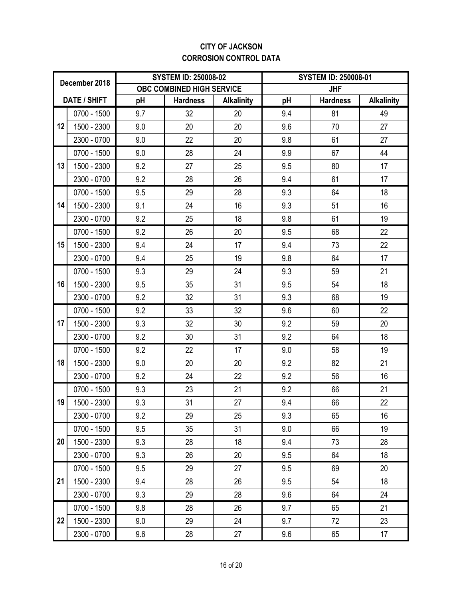### **CITY OF JACKSON CORROSION CONTROL DATA**

|    | December 2018       |     | <b>SYSTEM ID: 250008-02</b> |                   |     | <b>SYSTEM ID: 250008-01</b> |                   |
|----|---------------------|-----|-----------------------------|-------------------|-----|-----------------------------|-------------------|
|    |                     |     | OBC COMBINED HIGH SERVICE   |                   |     | <b>JHF</b>                  |                   |
|    | <b>DATE / SHIFT</b> | pH  | <b>Hardness</b>             | <b>Alkalinity</b> | pH  | <b>Hardness</b>             | <b>Alkalinity</b> |
|    | 0700 - 1500         | 9.7 | 32                          | 20                | 9.4 | 81                          | 49                |
| 12 | 1500 - 2300         | 9.0 | 20                          | 20                | 9.6 | 70                          | 27                |
|    | 2300 - 0700         | 9.0 | 22                          | 20                | 9.8 | 61                          | 27                |
|    | 0700 - 1500         | 9.0 | 28                          | 24                | 9.9 | 67                          | 44                |
| 13 | 1500 - 2300         | 9.2 | 27                          | 25                | 9.5 | 80                          | 17                |
|    | 2300 - 0700         | 9.2 | 28                          | 26                | 9.4 | 61                          | 17                |
|    | 0700 - 1500         | 9.5 | 29                          | 28                | 9.3 | 64                          | 18                |
| 14 | 1500 - 2300         | 9.1 | 24                          | 16                | 9.3 | 51                          | 16                |
|    | 2300 - 0700         | 9.2 | 25                          | 18                | 9.8 | 61                          | 19                |
|    | 0700 - 1500         | 9.2 | 26                          | 20                | 9.5 | 68                          | 22                |
| 15 | 1500 - 2300         | 9.4 | 24                          | 17                | 9.4 | 73                          | 22                |
|    | 2300 - 0700         | 9.4 | 25                          | 19                | 9.8 | 64                          | 17                |
|    | 0700 - 1500         | 9.3 | 29                          | 24                | 9.3 | 59                          | 21                |
| 16 | 1500 - 2300         | 9.5 | 35                          | 31                | 9.5 | 54                          | 18                |
|    | 2300 - 0700         | 9.2 | 32                          | 31                | 9.3 | 68                          | 19                |
|    | 0700 - 1500         | 9.2 | 33                          | 32                | 9.6 | 60                          | 22                |
| 17 | 1500 - 2300         | 9.3 | 32                          | 30                | 9.2 | 59                          | 20                |
|    | 2300 - 0700         | 9.2 | 30                          | 31                | 9.2 | 64                          | 18                |
|    | 0700 - 1500         | 9.2 | 22                          | 17                | 9.0 | 58                          | 19                |
| 18 | 1500 - 2300         | 9.0 | 20                          | 20                | 9.2 | 82                          | 21                |
|    | 2300 - 0700         | 9.2 | 24                          | 22                | 9.2 | 56                          | 16                |
|    | 0700 - 1500         | 9.3 | 23                          | 21                | 9.2 | 66                          | 21                |
| 19 | 1500 - 2300         | 9.3 | 31                          | 27                | 9.4 | 66                          | 22                |
|    | 2300 - 0700         | 9.2 | 29                          | 25                | 9.3 | 65                          | 16                |
|    | 0700 - 1500         | 9.5 | 35                          | 31                | 9.0 | 66                          | 19                |
| 20 | 1500 - 2300         | 9.3 | 28                          | 18                | 9.4 | 73                          | 28                |
|    | 2300 - 0700         | 9.3 | 26                          | 20                | 9.5 | 64                          | 18                |
|    | 0700 - 1500         | 9.5 | 29                          | 27                | 9.5 | 69                          | 20                |
| 21 | 1500 - 2300         | 9.4 | 28                          | 26                | 9.5 | 54                          | 18                |
|    | 2300 - 0700         | 9.3 | 29                          | 28                | 9.6 | 64                          | 24                |
|    | 0700 - 1500         | 9.8 | 28                          | 26                | 9.7 | 65                          | 21                |
| 22 | 1500 - 2300         | 9.0 | 29                          | 24                | 9.7 | 72                          | 23                |
|    | 2300 - 0700         | 9.6 | 28                          | 27                | 9.6 | 65                          | 17                |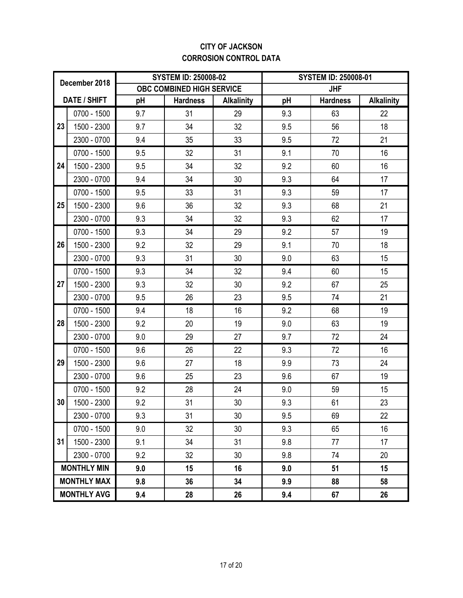### **CITY OF JACKSON CORROSION CONTROL DATA**

|             | December 2018       |     | <b>SYSTEM ID: 250008-02</b> |                   |     | <b>SYSTEM ID: 250008-01</b> |                   |
|-------------|---------------------|-----|-----------------------------|-------------------|-----|-----------------------------|-------------------|
|             |                     |     | OBC COMBINED HIGH SERVICE   |                   |     | <b>JHF</b>                  |                   |
|             | <b>DATE / SHIFT</b> | pH  | <b>Hardness</b>             | <b>Alkalinity</b> | pH  | <b>Hardness</b>             | <b>Alkalinity</b> |
|             | 0700 - 1500         | 9.7 | 31                          | 29                | 9.3 | 63                          | 22                |
| 23          | 1500 - 2300         | 9.7 | 34                          | 32                | 9.5 | 56                          | 18                |
|             | 2300 - 0700         | 9.4 | 35                          | 33                | 9.5 | 72                          | 21                |
|             | 0700 - 1500         | 9.5 | 32                          | 31                | 9.1 | 70                          | 16                |
| 24          | 1500 - 2300         | 9.5 | 34                          | 32                | 9.2 | 60                          | 16                |
|             | 2300 - 0700         | 9.4 | 34                          | 30                | 9.3 | 64                          | 17                |
|             | 0700 - 1500         | 9.5 | 33                          | 31                | 9.3 | 59                          | 17                |
| 25          | 1500 - 2300         | 9.6 | 36                          | 32                | 9.3 | 68                          | 21                |
| 2300 - 0700 |                     | 9.3 | 34                          | 32                | 9.3 | 62                          | 17                |
|             | 0700 - 1500         | 9.3 | 34                          | 29                | 9.2 | 57                          | 19                |
| 26          | 1500 - 2300         | 9.2 | 32                          | 29                | 9.1 | 70                          | 18                |
|             | 2300 - 0700         | 9.3 | 31                          | 30                | 9.0 | 63                          | 15                |
|             | 0700 - 1500         | 9.3 | 34                          | 32                | 9.4 | 60                          | 15                |
| 27          | 1500 - 2300         | 9.3 | 32                          | 30                | 9.2 | 67                          | 25                |
|             | 2300 - 0700         | 9.5 | 26                          | 23                | 9.5 | 74                          | 21                |
|             | 0700 - 1500         | 9.4 | 18                          | 16                | 9.2 | 68                          | 19                |
| 28          | 1500 - 2300         | 9.2 | 20                          | 19                | 9.0 | 63                          | 19                |
|             | 2300 - 0700         | 9.0 | 29                          | 27                | 9.7 | 72                          | 24                |
|             | 0700 - 1500         | 9.6 | 26                          | 22                | 9.3 | 72                          | 16                |
| 29          | 1500 - 2300         | 9.6 | 27                          | 18                | 9.9 | 73                          | 24                |
|             | 2300 - 0700         | 9.6 | 25                          | 23                | 9.6 | 67                          | 19                |
|             | 0700 - 1500         | 9.2 | 28                          | 24                | 9.0 | 59                          | 15                |
| 30          | 1500 - 2300         | 9.2 | 31                          | $30\,$            | 9.3 | 61                          | 23                |
|             | 2300 - 0700         | 9.3 | 31                          | 30                | 9.5 | 69                          | 22                |
|             | 0700 - 1500         | 9.0 | 32                          | 30                | 9.3 | 65                          | 16                |
| 31          | 1500 - 2300         | 9.1 | 34                          | 31                | 9.8 | 77                          | 17                |
|             | 2300 - 0700         | 9.2 | 32                          | 30                | 9.8 | 74                          | 20                |
|             | <b>MONTHLY MIN</b>  | 9.0 | 15                          | 16                | 9.0 | 51                          | 15                |
|             | <b>MONTHLY MAX</b>  | 9.8 | 36                          | 34                | 9.9 | 88                          | 58                |
|             | <b>MONTHLY AVG</b>  | 9.4 | 28                          | 26                | 9.4 | 67                          | 26                |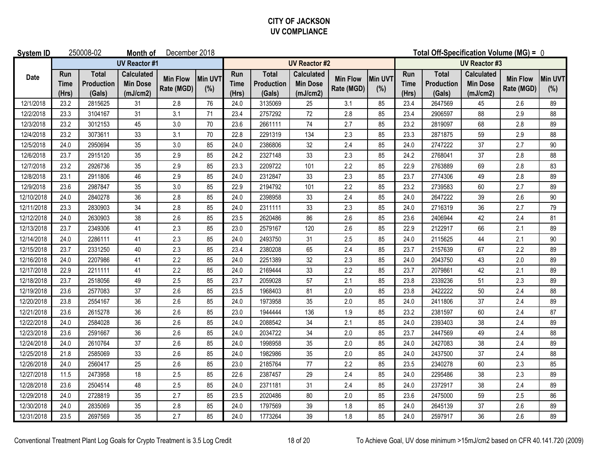### **CITY OF JACKSON UV COMPLIANCE**

| <b>System ID</b> |                             | 250008-02                            | Month of                                         | December 2018                 |                       |                             |                                      |                                                  |                               |                |                             | Total Off-Specification Volume (MG) = 0     |                                                  |                               |                |  |
|------------------|-----------------------------|--------------------------------------|--------------------------------------------------|-------------------------------|-----------------------|-----------------------------|--------------------------------------|--------------------------------------------------|-------------------------------|----------------|-----------------------------|---------------------------------------------|--------------------------------------------------|-------------------------------|----------------|--|
|                  |                             |                                      | <b>UV Reactor #1</b>                             |                               |                       |                             | <b>UV Reactor #2</b>                 |                                                  |                               |                |                             | <b>UV Reactor #3</b>                        |                                                  |                               |                |  |
| <b>Date</b>      | Run<br><b>Time</b><br>(Hrs) | <b>Total</b><br>Production<br>(Gals) | <b>Calculated</b><br><b>Min Dose</b><br>(mJ/cm2) | <b>Min Flow</b><br>Rate (MGD) | <b>Min UVT</b><br>(%) | Run<br><b>Time</b><br>(Hrs) | <b>Total</b><br>Production<br>(Gals) | <b>Calculated</b><br><b>Min Dose</b><br>(mJ/cm2) | <b>Min Flow</b><br>Rate (MGD) | Min UVT<br>(%) | Run<br><b>Time</b><br>(Hrs) | <b>Total</b><br><b>Production</b><br>(Gals) | <b>Calculated</b><br><b>Min Dose</b><br>(mJ/cm2) | <b>Min Flow</b><br>Rate (MGD) | Min UVT<br>(%) |  |
| 12/1/2018        | 23.2                        | 2815625                              | 31                                               | 2.8                           | 76                    | 24.0                        | 3135069                              | 25                                               | 3.1                           | 85             | 23.4                        | 2647569                                     | 45                                               | 2.6                           | 89             |  |
| 12/2/2018        | 23.3                        | 3104167                              | 31                                               | 3.1                           | 71                    | 23.4                        | 2757292                              | 72                                               | 2.8                           | 85             | 23.4                        | 2906597                                     | 88                                               | 2.9                           | 88             |  |
| 12/3/2018        | 23.2                        | 3012153                              | 45                                               | 3.0                           | 70                    | 23.6                        | 2661111                              | $74\,$                                           | 2.7                           | 85             | 23.2                        | 2819097                                     | 68                                               | 2.8                           | 89             |  |
| 12/4/2018        | 23.2                        | 3073611                              | 33                                               | 3.1                           | 70                    | 22.8                        | 2291319                              | 134                                              | 2.3                           | 85             | 23.3                        | 2871875                                     | 59                                               | 2.9                           | 88             |  |
| 12/5/2018        | 24.0                        | 2950694                              | 35                                               | 3.0                           | 85                    | 24.0                        | 2386806                              | 32                                               | 2.4                           | 85             | 24.0                        | 2747222                                     | 37                                               | 2.7                           | 90             |  |
| 12/6/2018        | 23.7                        | 2915120                              | 35                                               | 2.9                           | 85                    | 24.2                        | 2327148                              | 33                                               | 2.3                           | 85             | 24.2                        | 2768041                                     | 37                                               | 2.8                           | 88             |  |
| 12/7/2018        | 23.2                        | 2926736                              | 35                                               | 2.9                           | 85                    | 23.3                        | 2209722                              | 101                                              | 2.2                           | 85             | 22.9                        | 2763889                                     | 69                                               | 2.8                           | 83             |  |
| 12/8/2018        | 23.1                        | 2911806                              | 46                                               | 2.9                           | 85                    | 24.0                        | 2312847                              | 33                                               | 2.3                           | 85             | 23.7                        | 2774306                                     | 49                                               | 2.8                           | 89             |  |
| 12/9/2018        | 23.6                        | 2987847                              | 35                                               | 3.0                           | 85                    | 22.9                        | 2194792                              | 101                                              | 2.2                           | 85             | 23.2                        | 2739583                                     | 60                                               | 2.7                           | 89             |  |
| 12/10/2018       | 24.0                        | 2840278                              | 36                                               | 2.8                           | 85                    | 24.0                        | 2398958                              | 33                                               | 2.4                           | 85             | 24.0                        | 2647222                                     | 39                                               | 2.6                           | 90             |  |
| 12/11/2018       | 23.3                        | 2830903                              | 34                                               | 2.8                           | 85                    | 24.0                        | 2311111                              | 33                                               | 2.3                           | 85             | 24.0                        | 2716319                                     | 36                                               | 2.7                           | 79             |  |
| 12/12/2018       | 24.0                        | 2630903                              | 38                                               | 2.6                           | 85                    | 23.5                        | 2620486                              | 86                                               | 2.6                           | 85             | 23.6                        | 2406944                                     | 42                                               | 2.4                           | 81             |  |
| 12/13/2018       | 23.7                        | 2349306                              | 41                                               | 2.3                           | 85                    | 23.0                        | 2579167                              | 120                                              | 2.6                           | 85             | 22.9                        | 2122917                                     | 66                                               | 2.1                           | 89             |  |
| 12/14/2018       | 24.0                        | 2286111                              | 41                                               | 2.3                           | 85                    | 24.0                        | 2493750                              | 31                                               | 2.5                           | 85             | 24.0                        | 2115625                                     | 44                                               | 2.1                           | 90             |  |
| 12/15/2018       | 23.7                        | 2331250                              | 40                                               | 2.3                           | 85                    | 23.4                        | 2380208                              | 65                                               | 2.4                           | 85             | 23.7                        | 2157639                                     | 67                                               | 2.2                           | 89             |  |
| 12/16/2018       | 24.0                        | 2207986                              | 41                                               | 2.2                           | 85                    | 24.0                        | 2251389                              | 32                                               | 2.3                           | 85             | 24.0                        | 2043750                                     | 43                                               | 2.0                           | 89             |  |
| 12/17/2018       | 22.9                        | 2211111                              | 41                                               | 2.2                           | 85                    | 24.0                        | 2169444                              | 33                                               | 2.2                           | 85             | 23.7                        | 2079861                                     | 42                                               | 2.1                           | 89             |  |
| 12/18/2018       | 23.7                        | 2518056                              | 49                                               | 2.5                           | 85                    | 23.7                        | 2059028                              | 57                                               | 2.1                           | 85             | 23.8                        | 2339236                                     | 51                                               | 2.3                           | 89             |  |
| 12/19/2018       | 23.6                        | 2577083                              | 37                                               | 2.6                           | 85                    | 23.5                        | 1968403                              | 81                                               | 2.0                           | 85             | 23.8                        | 2422222                                     | 50                                               | 2.4                           | 88             |  |
| 12/20/2018       | 23.8                        | 2554167                              | 36                                               | 2.6                           | 85                    | 24.0                        | 1973958                              | 35                                               | 2.0                           | 85             | 24.0                        | 2411806                                     | 37                                               | 2.4                           | 89             |  |
| 12/21/2018       | 23.6                        | 2615278                              | 36                                               | 2.6                           | 85                    | 23.0                        | 1944444                              | 136                                              | 1.9                           | 85             | 23.2                        | 2381597                                     | 60                                               | 2.4                           | 87             |  |
| 12/22/2018       | 24.0                        | 2584028                              | 36                                               | 2.6                           | 85                    | 24.0                        | 2088542                              | 34                                               | 2.1                           | 85             | 24.0                        | 2393403                                     | 38                                               | 2.4                           | 89             |  |
| 12/23/2018       | 23.6                        | 2591667                              | 36                                               | 2.6                           | 85                    | 24.0                        | 2034722                              | 34                                               | 2.0                           | 85             | 23.7                        | 2447569                                     | 49                                               | 2.4                           | 88             |  |
| 12/24/2018       | 24.0                        | 2610764                              | 37                                               | 2.6                           | 85                    | 24.0                        | 1998958                              | 35                                               | 2.0                           | 85             | 24.0                        | 2427083                                     | 38                                               | 2.4                           | 89             |  |
| 12/25/2018       | 21.8                        | 2585069                              | 33                                               | 2.6                           | 85                    | 24.0                        | 1982986                              | 35                                               | 2.0                           | 85             | 24.0                        | 2437500                                     | 37                                               | 2.4                           | 88             |  |
| 12/26/2018       | 24.0                        | 2560417                              | 25                                               | 2.6                           | 85                    | 23.0                        | 2185764                              | 77                                               | 2.2                           | 85             | 23.5                        | 2340278                                     | 60                                               | 2.3                           | 85             |  |
| 12/27/2018       | 11.5                        | 2473958                              | 18                                               | 2.5                           | 85                    | 22.6                        | 2387457                              | 29                                               | 2.4                           | 85             | 24.0                        | 2295486                                     | 38                                               | 2.3                           | 89             |  |
| 12/28/2018       | 23.6                        | 2504514                              | 48                                               | 2.5                           | 85                    | 24.0                        | 2371181                              | 31                                               | 2.4                           | 85             | 24.0                        | 2372917                                     | 38                                               | 2.4                           | 89             |  |
| 12/29/2018       | 24.0                        | 2728819                              | 35                                               | 2.7                           | 85                    | 23.5                        | 2020486                              | 80                                               | 2.0                           | 85             | 23.6                        | 2475000                                     | 59                                               | 2.5                           | 86             |  |
| 12/30/2018       | 24.0                        | 2835069                              | 35                                               | 2.8                           | 85                    | 24.0                        | 1797569                              | 39                                               | 1.8                           | 85             | 24.0                        | 2645139                                     | 37                                               | 2.6                           | 89             |  |
| 12/31/2018       | 23.5                        | 2697569                              | 35                                               | 2.7                           | 85                    | 24.0                        | 1773264                              | 39                                               | 1.8                           | 85             | 24.0                        | 2597917                                     | 36                                               | 2.6                           | 89             |  |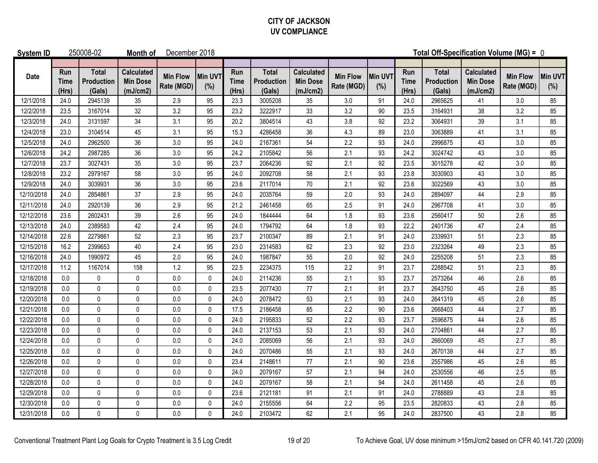### **CITY OF JACKSON UV COMPLIANCE**

| <b>System ID</b> |                             | 250008-02                            | Month of                                         | December 2018                 |                       | Total Off-Specification Volume (MG) = 0 |                                      |                                                  |                               |                |                             |                                             |                                                  |                               |                |
|------------------|-----------------------------|--------------------------------------|--------------------------------------------------|-------------------------------|-----------------------|-----------------------------------------|--------------------------------------|--------------------------------------------------|-------------------------------|----------------|-----------------------------|---------------------------------------------|--------------------------------------------------|-------------------------------|----------------|
| <b>Date</b>      | Run<br><b>Time</b><br>(Hrs) | <b>Total</b><br>Production<br>(Gals) | <b>Calculated</b><br><b>Min Dose</b><br>(mJ/cm2) | <b>Min Flow</b><br>Rate (MGD) | <b>Min UVT</b><br>(%) | Run<br><b>Time</b><br>(Hrs)             | <b>Total</b><br>Production<br>(Gals) | <b>Calculated</b><br><b>Min Dose</b><br>(mJ/cm2) | <b>Min Flow</b><br>Rate (MGD) | Min UVT<br>(%) | Run<br><b>Time</b><br>(Hrs) | <b>Total</b><br><b>Production</b><br>(Gals) | <b>Calculated</b><br><b>Min Dose</b><br>(mJ/cm2) | <b>Min Flow</b><br>Rate (MGD) | Min UVT<br>(%) |
| 12/1/2018        | 24.0                        | 2945139                              | 35                                               | 2.9                           | 95                    | 23.3                                    | 3005208                              | 35                                               | 3.0                           | 91             | 24.0                        | 2965625                                     | 41                                               | 3.0                           | 85             |
| 12/2/2018        | 23.5                        | 3167014                              | 32                                               | 3.2                           | 95                    | 23.2                                    | 3222917                              | 33                                               | 3.2                           | 90             | 23.5                        | 3164931                                     | 38                                               | 3.2                           | 85             |
| 12/3/2018        | 24.0                        | 3131597                              | 34                                               | 3.1                           | 95                    | 20.2                                    | 3804514                              | 43                                               | 3.8                           | 92             | 23.2                        | 3064931                                     | 39                                               | 3.1                           | 85             |
| 12/4/2018        | 23.0                        | 3104514                              | 45                                               | 3.1                           | 95                    | 15.3                                    | 4286458                              | 36                                               | 4.3                           | 89             | 23.0                        | 3063889                                     | 41                                               | 3.1                           | 85             |
| 12/5/2018        | 24.0                        | 2962500                              | 36                                               | 3.0                           | 95                    | 24.0                                    | 2167361                              | 54                                               | 2.2                           | 93             | 24.0                        | 2996875                                     | 43                                               | 3.0                           | 85             |
| 12/6/2018        | 24.2                        | 2987285                              | 36                                               | 3.0                           | 95                    | 24.2                                    | 2105842                              | 56                                               | 2.1                           | 93             | 24.2                        | 3024742                                     | 43                                               | 3.0                           | 85             |
| 12/7/2018        | 23.7                        | 3027431                              | 35                                               | 3.0                           | 95                    | 23.7                                    | 2064236                              | 92                                               | 2.1                           | 92             | 23.5                        | 3015278                                     | 42                                               | 3.0                           | 85             |
| 12/8/2018        | 23.2                        | 2979167                              | 58                                               | 3.0                           | 95                    | 24.0                                    | 2092708                              | 58                                               | 2.1                           | 93             | 23.8                        | 3030903                                     | 43                                               | 3.0                           | 85             |
| 12/9/2018        | 24.0                        | 3039931                              | 36                                               | $3.0\,$                       | 95                    | 23.6                                    | 2117014                              | $70\,$                                           | 2.1                           | 92             | 23.6                        | 3022569                                     | 43                                               | 3.0                           | 85             |
| 12/10/2018       | 24.0                        | 2854861                              | 37                                               | 2.9                           | 95                    | 24.0                                    | 2035764                              | 59                                               | 2.0                           | 93             | 24.0                        | 2894097                                     | 44                                               | 2.9                           | 85             |
| 12/11/2018       | 24.0                        | 2920139                              | 36                                               | 2.9                           | 95                    | 21.2                                    | 2461458                              | 65                                               | 2.5                           | 91             | 24.0                        | 2967708                                     | 41                                               | 3.0                           | 85             |
| 12/12/2018       | 23.6                        | 2602431                              | 39                                               | 2.6                           | 95                    | 24.0                                    | 1844444                              | 64                                               | 1.8                           | 93             | 23.6                        | 2560417                                     | 50                                               | 2.6                           | 85             |
| 12/13/2018       | 24.0                        | 2389583                              | 42                                               | 2.4                           | 95                    | 24.0                                    | 1794792                              | 64                                               | 1.8                           | 93             | 22.2                        | 2401736                                     | 47                                               | 2.4                           | 85             |
| 12/14/2018       | 22.6                        | 2279861                              | 52                                               | 2.3                           | 95                    | 23.7                                    | 2100347                              | 89                                               | 2.1                           | 91             | 24.0                        | 2339931                                     | 51                                               | 2.3                           | 85             |
| 12/15/2018       | 16.2                        | 2399653                              | 40                                               | 2.4                           | 95                    | 23.0                                    | 2314583                              | 62                                               | 2.3                           | 92             | 23.0                        | 2323264                                     | 49                                               | 2.3                           | 85             |
| 12/16/2018       | 24.0                        | 1990972                              | 45                                               | 2.0                           | 95                    | 24.0                                    | 1987847                              | 55                                               | 2.0                           | 92             | 24.0                        | 2255208                                     | 51                                               | 2.3                           | 85             |
| 12/17/2018       | 11.2                        | 1167014                              | 158                                              | 1.2                           | 95                    | 22.5                                    | 2234375                              | 115                                              | 2.2                           | 91             | 23.7                        | 2288542                                     | 51                                               | 2.3                           | 85             |
| 12/18/2018       | 0.0                         | 0                                    | 0                                                | 0.0                           | 0                     | 24.0                                    | 2114236                              | 55                                               | 2.1                           | 93             | 23.7                        | 2573264                                     | 46                                               | 2.6                           | 85             |
| 12/19/2018       | 0.0                         | $\pmb{0}$                            | 0                                                | 0.0                           | 0                     | 23.5                                    | 2077430                              | 77                                               | 2.1                           | 91             | 23.7                        | 2643750                                     | 45                                               | 2.6                           | 85             |
| 12/20/2018       | 0.0                         | $\pmb{0}$                            | 0                                                | 0.0                           | 0                     | 24.0                                    | 2078472                              | 53                                               | 2.1                           | 93             | 24.0                        | 2641319                                     | 45                                               | 2.6                           | 85             |
| 12/21/2018       | 0.0                         | $\pmb{0}$                            | 0                                                | 0.0                           | $\pmb{0}$             | 17.5                                    | 2186458                              | 85                                               | 2.2                           | 90             | 23.6                        | 2668403                                     | 44                                               | 2.7                           | 85             |
| 12/22/2018       | 0.0                         | 0                                    | 0                                                | $0.0\,$                       | 0                     | 24.0                                    | 2195833                              | 52                                               | 2.2                           | 93             | 23.7                        | 2596875                                     | 44                                               | 2.6                           | 85             |
| 12/23/2018       | 0.0                         | $\mathbf{0}$                         | $\mathbf{0}$                                     | 0.0                           | 0                     | 24.0                                    | 2137153                              | 53                                               | 2.1                           | 93             | 24.0                        | 2704861                                     | 44                                               | 2.7                           | 85             |
| 12/24/2018       | 0.0                         | $\pmb{0}$                            | 0                                                | $0.0\,$                       | 0                     | 24.0                                    | 2085069                              | 56                                               | 2.1                           | 93             | 24.0                        | 2660069                                     | 45                                               | 2.7                           | 85             |
| 12/25/2018       | 0.0                         | 0                                    | $\mathbf{0}$                                     | 0.0                           | 0                     | 24.0                                    | 2070486                              | 55                                               | 2.1                           | 93             | 24.0                        | 2670139                                     | 44                                               | 2.7                           | 85             |
| 12/26/2018       | 0.0                         | $\mathbf 0$                          | $\mathbf{0}$                                     | 0.0                           | 0                     | 23.4                                    | 2148611                              | 77                                               | 2.1                           | 90             | 23.6                        | 2557986                                     | 45                                               | 2.6                           | 85             |
| 12/27/2018       | 0.0                         | $\mathbf{0}$                         | $\mathbf{0}$                                     | 0.0                           | 0                     | 24.0                                    | 2079167                              | 57                                               | 2.1                           | 94             | 24.0                        | 2530556                                     | 46                                               | 2.5                           | 85             |
| 12/28/2018       | 0.0                         | 0                                    | 0                                                | 0.0                           | 0                     | 24.0                                    | 2079167                              | 58                                               | 2.1                           | 94             | 24.0                        | 2611458                                     | 45                                               | 2.6                           | 85             |
| 12/29/2018       | 0.0                         | $\pmb{0}$                            | 0                                                | 0.0                           | 0                     | 23.6                                    | 2121181                              | 91                                               | 2.1                           | 91             | 24.0                        | 2788889                                     | 43                                               | 2.8                           | 85             |
| 12/30/2018       | $0.0\,$                     | 0                                    | 0                                                | $0.0\,$                       | 0                     | 24.0                                    | 2155556                              | 64                                               | 2.2                           | 95             | 23.5                        | 2820833                                     | 43                                               | 2.8                           | 85             |
| 12/31/2018       | 0.0                         | $\pmb{0}$                            | 0                                                | 0.0                           | 0                     | 24.0                                    | 2103472                              | 62                                               | 2.1                           | 95             | 24.0                        | 2837500                                     | 43                                               | 2.8                           | 85             |